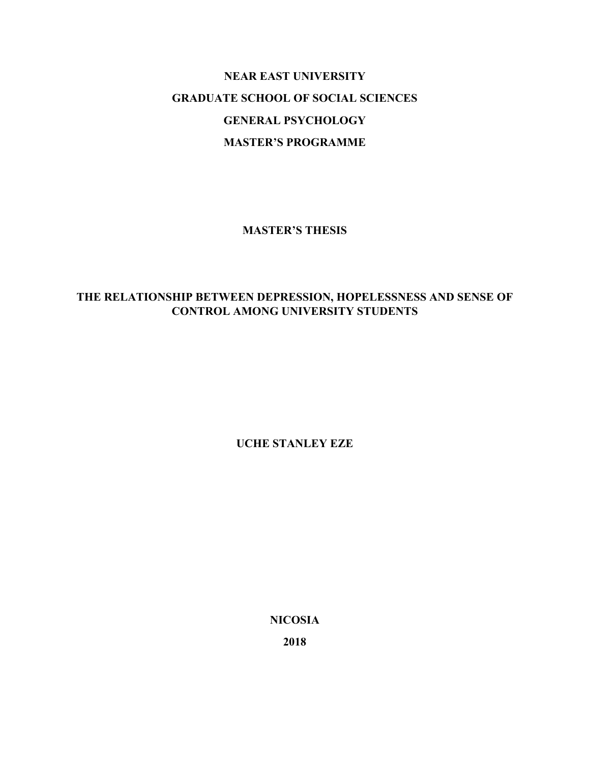# **NEAR EAST UNIVERSITY GRADUATE SCHOOL OF SOCIAL SCIENCES GENERAL PSYCHOLOGY MASTER'S PROGRAMME**

**MASTER'S THESIS** 

# **THE RELATIONSHIP BETWEEN DEPRESSION, HOPELESSNESS AND SENSE OF CONTROL AMONG UNIVERSITY STUDENTS**

**UCHE STANLEY EZE** 

**NICOSIA** 

**2018**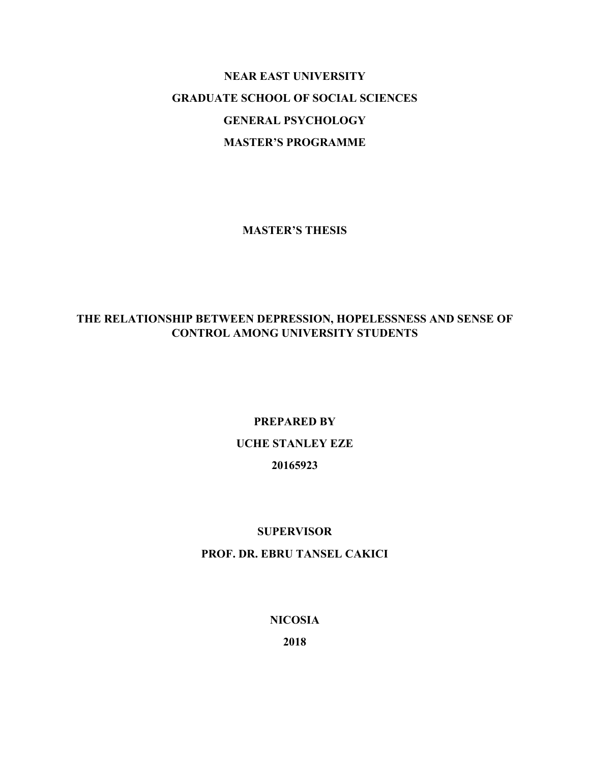# **NEAR EAST UNIVERSITY GRADUATE SCHOOL OF SOCIAL SCIENCES GENERAL PSYCHOLOGY MASTER'S PROGRAMME**

**MASTER'S THESIS** 

### **THE RELATIONSHIP BETWEEN DEPRESSION, HOPELESSNESS AND SENSE OF CONTROL AMONG UNIVERSITY STUDENTS**

# **PREPARED BY UCHE STANLEY EZE 20165923**

### **SUPERVISOR**

### **PROF. DR. EBRU TANSEL CAKICI**

### **NICOSIA**

**2018**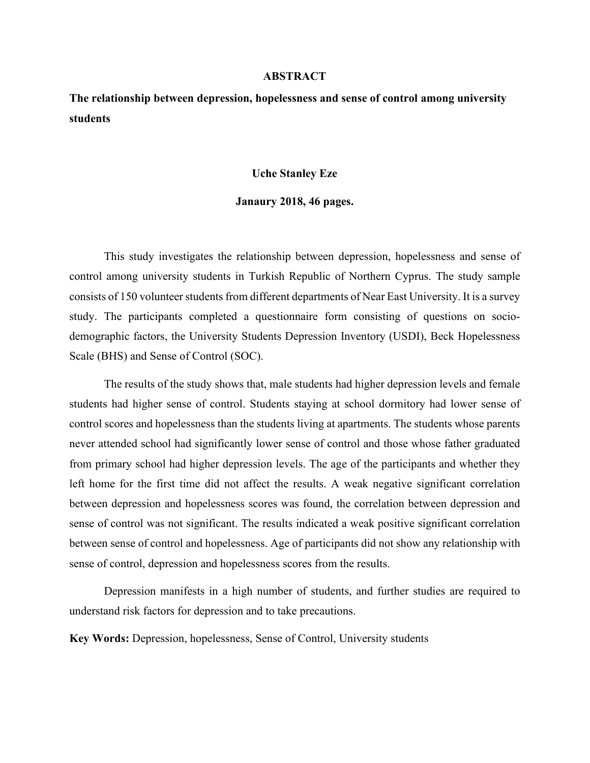#### **ABSTRACT**

**The relationship between depression, hopelessness and sense of control among university students** 

#### **Uche Stanley Eze**

#### **Janaury 2018, 46 pages.**

 This study investigates the relationship between depression, hopelessness and sense of control among university students in Turkish Republic of Northern Cyprus. The study sample consists of 150 volunteer students from different departments of Near East University. It is a survey study. The participants completed a questionnaire form consisting of questions on sociodemographic factors, the University Students Depression Inventory (USDI), Beck Hopelessness Scale (BHS) and Sense of Control (SOC).

 The results of the study shows that, male students had higher depression levels and female students had higher sense of control. Students staying at school dormitory had lower sense of control scores and hopelessness than the students living at apartments. The students whose parents never attended school had significantly lower sense of control and those whose father graduated from primary school had higher depression levels. The age of the participants and whether they left home for the first time did not affect the results. A weak negative significant correlation between depression and hopelessness scores was found, the correlation between depression and sense of control was not significant. The results indicated a weak positive significant correlation between sense of control and hopelessness. Age of participants did not show any relationship with sense of control, depression and hopelessness scores from the results.

 Depression manifests in a high number of students, and further studies are required to understand risk factors for depression and to take precautions.

**Key Words:** Depression, hopelessness, Sense of Control, University students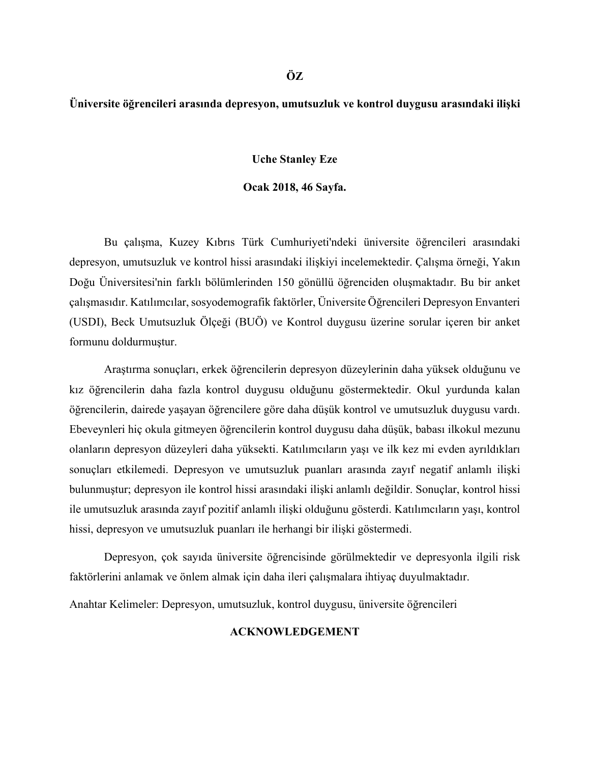### **Üniversite öğrencileri arasında depresyon, umutsuzluk ve kontrol duygusu arasındaki ilişki**

#### **Uche Stanley Eze**

#### **Ocak 2018, 46 Sayfa.**

Bu çalışma, Kuzey Kıbrıs Türk Cumhuriyeti'ndeki üniversite öğrencileri arasındaki depresyon, umutsuzluk ve kontrol hissi arasındaki ilişkiyi incelemektedir. Çalışma örneği, Yakın Doğu Üniversitesi'nin farklı bölümlerinden 150 gönüllü öğrenciden oluşmaktadır. Bu bir anket çalışmasıdır. Katılımcılar, sosyodemografik faktörler, Üniversite Öğrencileri Depresyon Envanteri (USDI), Beck Umutsuzluk Ölçeği (BUÖ) ve Kontrol duygusu üzerine sorular içeren bir anket formunu doldurmuştur.

Araştırma sonuçları, erkek öğrencilerin depresyon düzeylerinin daha yüksek olduğunu ve kız öğrencilerin daha fazla kontrol duygusu olduğunu göstermektedir. Okul yurdunda kalan öğrencilerin, dairede yaşayan öğrencilere göre daha düşük kontrol ve umutsuzluk duygusu vardı. Ebeveynleri hiç okula gitmeyen öğrencilerin kontrol duygusu daha düşük, babası ilkokul mezunu olanların depresyon düzeyleri daha yüksekti. Katılımcıların yaşı ve ilk kez mi evden ayrıldıkları sonuçları etkilemedi. Depresyon ve umutsuzluk puanları arasında zayıf negatif anlamlı ilişki bulunmuştur; depresyon ile kontrol hissi arasındaki ilişki anlamlı değildir. Sonuçlar, kontrol hissi ile umutsuzluk arasında zayıf pozitif anlamlı ilişki olduğunu gösterdi. Katılımcıların yaşı, kontrol hissi, depresyon ve umutsuzluk puanları ile herhangi bir ilişki göstermedi.

Depresyon, çok sayıda üniversite öğrencisinde görülmektedir ve depresyonla ilgili risk faktörlerini anlamak ve önlem almak için daha ileri çalışmalara ihtiyaç duyulmaktadır.

Anahtar Kelimeler: Depresyon, umutsuzluk, kontrol duygusu, üniversite öğrencileri

### **ACKNOWLEDGEMENT**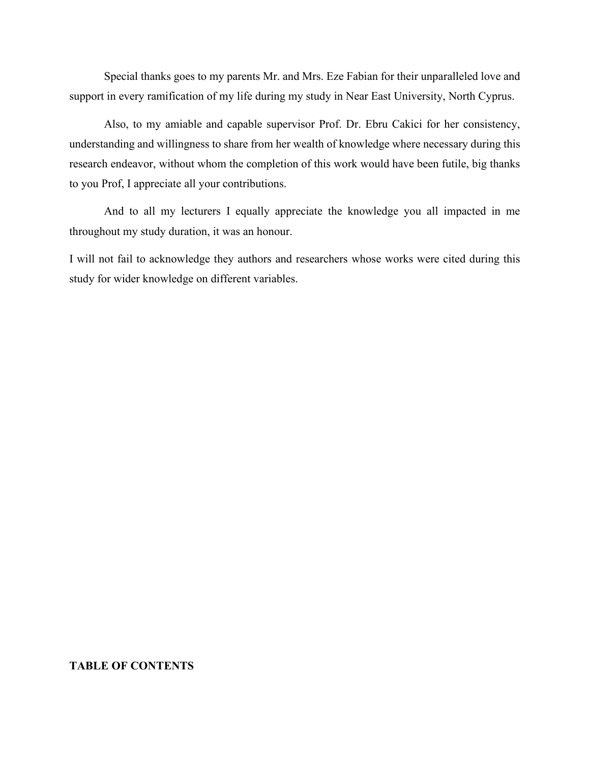Special thanks goes to my parents Mr. and Mrs. Eze Fabian for their unparalleled love and support in every ramification of my life during my study in Near East University, North Cyprus.

Also, to my amiable and capable supervisor Prof. Dr. Ebru Cakici for her consistency, understanding and willingness to share from her wealth of knowledge where necessary during this research endeavor, without whom the completion of this work would have been futile, big thanks to you Prof, I appreciate all your contributions.

And to all my lecturers I equally appreciate the knowledge you all impacted in me throughout my study duration, it was an honour.

I will not fail to acknowledge they authors and researchers whose works were cited during this study for wider knowledge on different variables.

### **TABLE OF CONTENTS**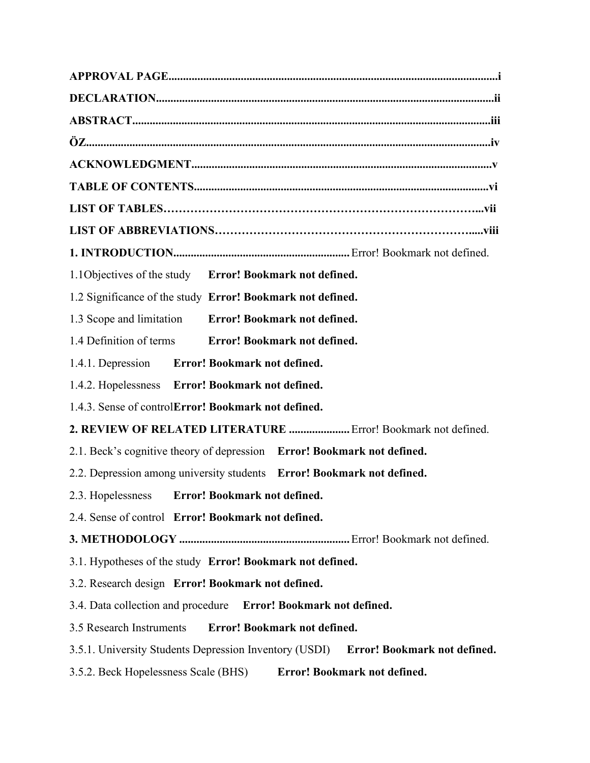| 1.1 Objectives of the study Error! Bookmark not defined.                               |
|----------------------------------------------------------------------------------------|
| 1.2 Significance of the study Error! Bookmark not defined.                             |
| 1.3 Scope and limitation Error! Bookmark not defined.                                  |
| 1.4 Definition of terms Error! Bookmark not defined.                                   |
| 1.4.1. Depression Error! Bookmark not defined.                                         |
| 1.4.2. Hopelessness Error! Bookmark not defined.                                       |
| 1.4.3. Sense of controlError! Bookmark not defined.                                    |
| 2. REVIEW OF RELATED LITERATURE  Error! Bookmark not defined.                          |
| 2.1. Beck's cognitive theory of depression Error! Bookmark not defined.                |
| 2.2. Depression among university students Error! Bookmark not defined.                 |
| Error! Bookmark not defined.<br>2.3. Hopelessness                                      |
| 2.4. Sense of control Error! Bookmark not defined.                                     |
|                                                                                        |
| 3.1. Hypotheses of the study Error! Bookmark not defined.                              |
| 3.2. Research design Error! Bookmark not defined.                                      |
| 3.4. Data collection and procedure Error! Bookmark not defined.                        |
| <b>Error! Bookmark not defined.</b><br>3.5 Research Instruments                        |
| 3.5.1. University Students Depression Inventory (USDI)<br>Error! Bookmark not defined. |
| Error! Bookmark not defined.<br>3.5.2. Beck Hopelessness Scale (BHS)                   |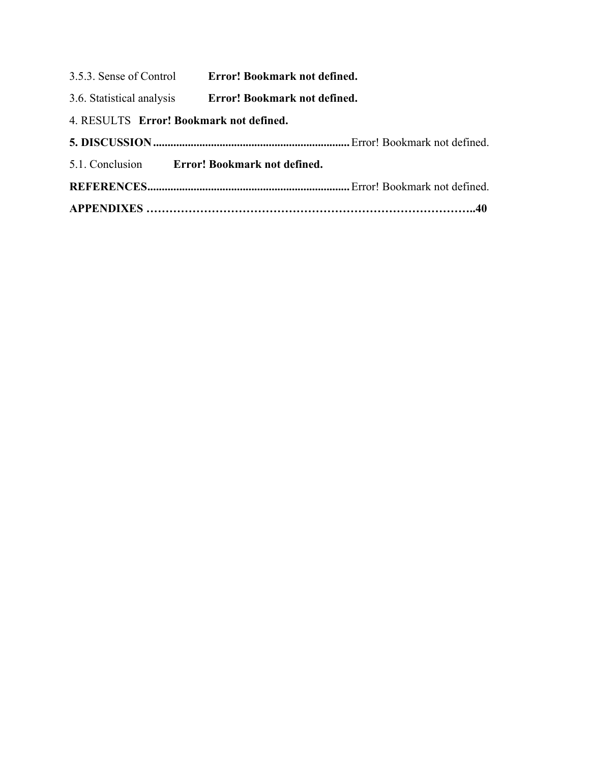- 3.5.3. Sense of Control **Error! Bookmark not defined.**
- 3.6. Statistical analysis **Error! Bookmark not defined.**
- 4. RESULTS **Error! Bookmark not defined.**
- **5. DISCUSSION ....................................................................** Error! Bookmark not defined. 5.1. Conclusion **Error! Bookmark not defined. REFERENCES ......................................................................** Error! Bookmark not defined. **APPENDIXES …………………………………………………………………………..40**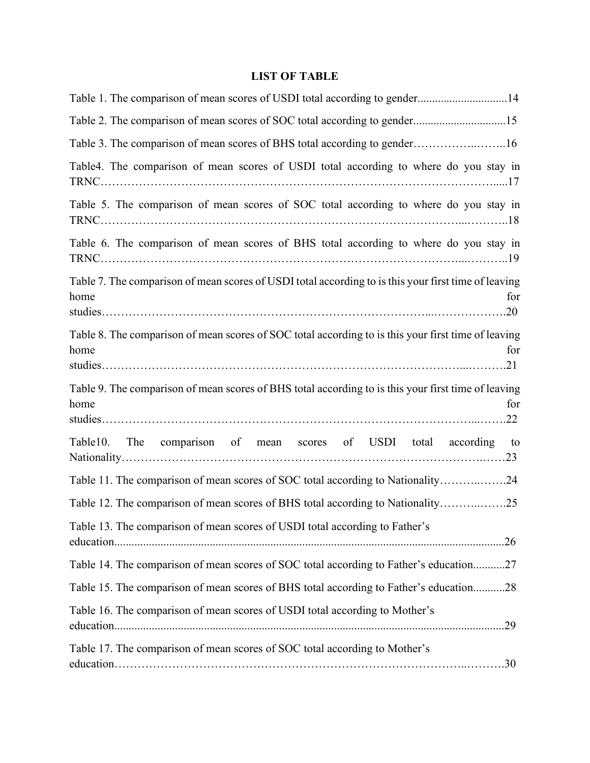# **LIST OF TABLE**

| Table 1. The comparison of mean scores of USDI total according to gender14                                          |
|---------------------------------------------------------------------------------------------------------------------|
| Table 2. The comparison of mean scores of SOC total according to gender15                                           |
| Table 3. The comparison of mean scores of BHS total according to gender16                                           |
| Table4. The comparison of mean scores of USDI total according to where do you stay in                               |
| Table 5. The comparison of mean scores of SOC total according to where do you stay in                               |
| Table 6. The comparison of mean scores of BHS total according to where do you stay in                               |
| Table 7. The comparison of mean scores of USDI total according to is this your first time of leaving<br>home<br>for |
| Table 8. The comparison of mean scores of SOC total according to is this your first time of leaving<br>home<br>for  |
| Table 9. The comparison of mean scores of BHS total according to is this your first time of leaving<br>home<br>for  |
| Table10.<br>comparison of mean scores of USDI total according to<br>The                                             |
| Table 11. The comparison of mean scores of SOC total according to Nationality24                                     |
| Table 12. The comparison of mean scores of BHS total according to Nationality25                                     |
| Table 13. The comparison of mean scores of USDI total according to Father's                                         |
| Table 14. The comparison of mean scores of SOC total according to Father's education27                              |
| Table 15. The comparison of mean scores of BHS total according to Father's education28                              |
| Table 16. The comparison of mean scores of USDI total according to Mother's                                         |
| Table 17. The comparison of mean scores of SOC total according to Mother's                                          |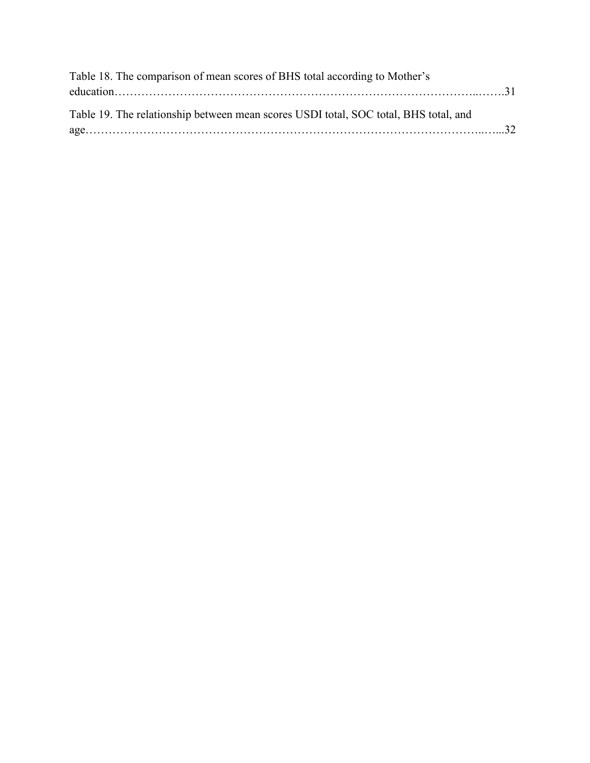| Table 18. The comparison of mean scores of BHS total according to Mother's           |
|--------------------------------------------------------------------------------------|
|                                                                                      |
|                                                                                      |
| Table 19. The relationship between mean scores USDI total, SOC total, BHS total, and |
|                                                                                      |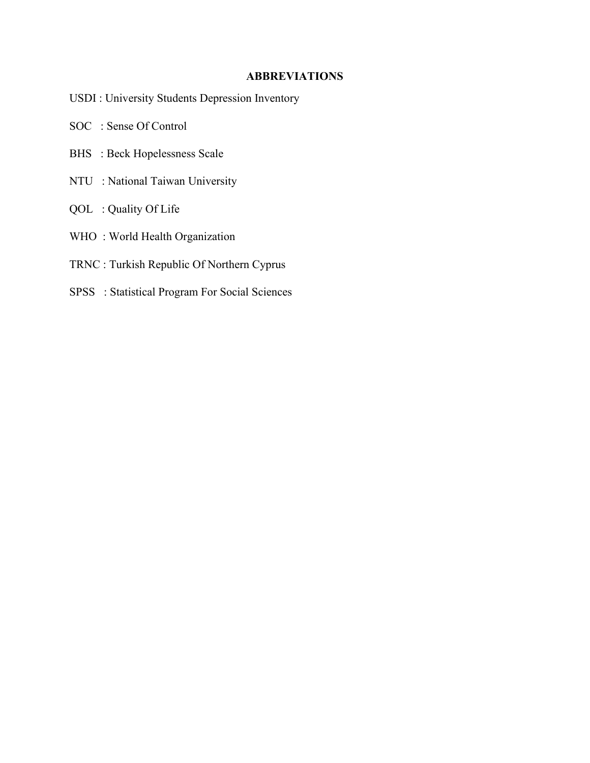### **ABBREVIATIONS**

- USDI : University Students Depression Inventory
- SOC : Sense Of Control
- BHS : Beck Hopelessness Scale
- NTU : National Taiwan University
- QOL : Quality Of Life
- WHO : World Health Organization
- TRNC : Turkish Republic Of Northern Cyprus
- SPSS : Statistical Program For Social Sciences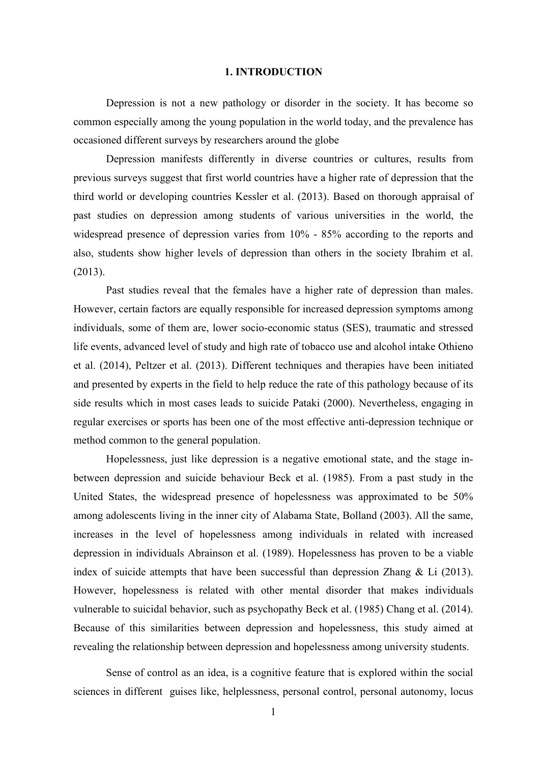#### **1. INTRODUCTION**

Depression is not a new pathology or disorder in the society. It has become so common especially among the young population in the world today, and the prevalence has occasioned different surveys by researchers around the globe

Depression manifests differently in diverse countries or cultures, results from previous surveys suggest that first world countries have a higher rate of depression that the third world or developing countries Kessler et al. (2013). Based on thorough appraisal of past studies on depression among students of various universities in the world, the widespread presence of depression varies from 10% - 85% according to the reports and also, students show higher levels of depression than others in the society Ibrahim et al. (2013).

Past studies reveal that the females have a higher rate of depression than males. However, certain factors are equally responsible for increased depression symptoms among individuals, some of them are, lower socio-economic status (SES), traumatic and stressed life events, advanced level of study and high rate of tobacco use and alcohol intake Othieno et al. (2014), Peltzer et al. (2013). Different techniques and therapies have been initiated and presented by experts in the field to help reduce the rate of this pathology because of its side results which in most cases leads to suicide Pataki (2000). Nevertheless, engaging in regular exercises or sports has been one of the most effective anti-depression technique or method common to the general population.

Hopelessness, just like depression is a negative emotional state, and the stage inbetween depression and suicide behaviour Beck et al. (1985). From a past study in the United States, the widespread presence of hopelessness was approximated to be 50% among adolescents living in the inner city of Alabama State, Bolland (2003). All the same, increases in the level of hopelessness among individuals in related with increased depression in individuals Abrainson et al. (1989). Hopelessness has proven to be a viable index of suicide attempts that have been successful than depression Zhang  $\&$  Li (2013). However, hopelessness is related with other mental disorder that makes individuals vulnerable to suicidal behavior, such as psychopathy Beck et al. (1985) Chang et al. (2014). Because of this similarities between depression and hopelessness, this study aimed at revealing the relationship between depression and hopelessness among university students.

 Sense of control as an idea, is a cognitive feature that is explored within the social sciences in different guises like, helplessness, personal control, personal autonomy, locus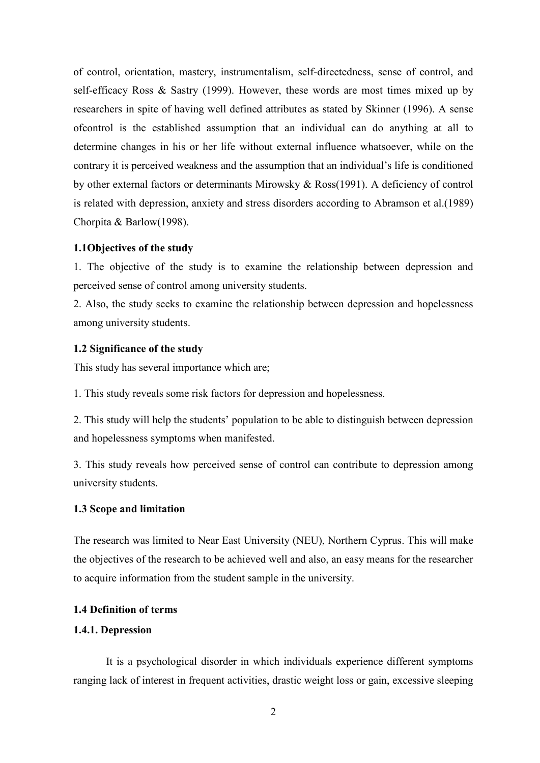of control, orientation, mastery, instrumentalism, self-directedness, sense of control, and self-efficacy Ross & Sastry (1999). However, these words are most times mixed up by researchers in spite of having well defined attributes as stated by Skinner (1996). A sense ofcontrol is the established assumption that an individual can do anything at all to determine changes in his or her life without external influence whatsoever, while on the contrary it is perceived weakness and the assumption that an individual's life is conditioned by other external factors or determinants Mirowsky & Ross(1991). A deficiency of control is related with depression, anxiety and stress disorders according to Abramson et al.(1989) Chorpita & Barlow(1998).

#### **1.1Objectives of the study**

1. The objective of the study is to examine the relationship between depression and perceived sense of control among university students.

2. Also, the study seeks to examine the relationship between depression and hopelessness among university students.

#### **1.2 Significance of the study**

This study has several importance which are;

1. This study reveals some risk factors for depression and hopelessness.

2. This study will help the students' population to be able to distinguish between depression and hopelessness symptoms when manifested.

3. This study reveals how perceived sense of control can contribute to depression among university students.

#### **1.3 Scope and limitation**

The research was limited to Near East University (NEU), Northern Cyprus. This will make the objectives of the research to be achieved well and also, an easy means for the researcher to acquire information from the student sample in the university.

### **1.4 Definition of terms**

### **1.4.1. Depression**

 It is a psychological disorder in which individuals experience different symptoms ranging lack of interest in frequent activities, drastic weight loss or gain, excessive sleeping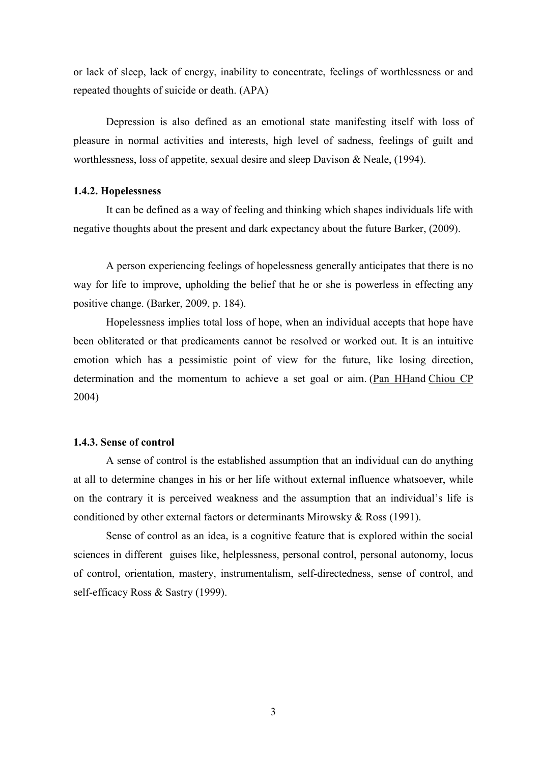or lack of sleep, lack of energy, inability to concentrate, feelings of worthlessness or and repeated thoughts of suicide or death. (APA)

 Depression is also defined as an emotional state manifesting itself with loss of pleasure in normal activities and interests, high level of sadness, feelings of guilt and worthlessness, loss of appetite, sexual desire and sleep Davison & Neale, (1994).

#### **1.4.2. Hopelessness**

 It can be defined as a way of feeling and thinking which shapes individuals life with negative thoughts about the present and dark expectancy about the future Barker, (2009).

 A person experiencing feelings of hopelessness generally anticipates that there is no way for life to improve, upholding the belief that he or she is powerless in effecting any positive change. (Barker, 2009, p. 184).

 Hopelessness implies total loss of hope, when an individual accepts that hope have been obliterated or that predicaments cannot be resolved or worked out. It is an intuitive emotion which has a pessimistic point of view for the future, like losing direction, determination and the momentum to achieve a set goal or aim. (Pan HHand Chiou CP 2004)

#### **1.4.3. Sense of control**

 A sense of control is the established assumption that an individual can do anything at all to determine changes in his or her life without external influence whatsoever, while on the contrary it is perceived weakness and the assumption that an individual's life is conditioned by other external factors or determinants Mirowsky & Ross (1991).

 Sense of control as an idea, is a cognitive feature that is explored within the social sciences in different guises like, helplessness, personal control, personal autonomy, locus of control, orientation, mastery, instrumentalism, self-directedness, sense of control, and self-efficacy Ross & Sastry (1999).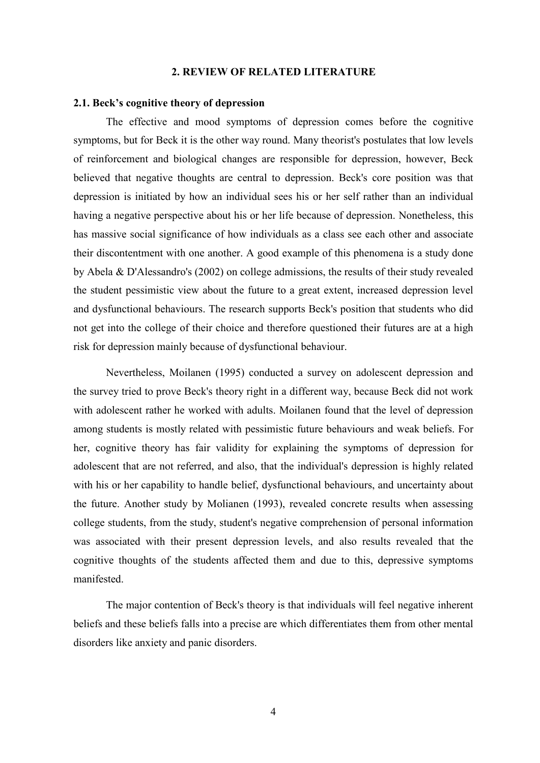#### **2. REVIEW OF RELATED LITERATURE**

#### **2.1. Beck's cognitive theory of depression**

 The effective and mood symptoms of depression comes before the cognitive symptoms, but for Beck it is the other way round. Many theorist's postulates that low levels of reinforcement and biological changes are responsible for depression, however, Beck believed that negative thoughts are central to depression. Beck's core position was that depression is initiated by how an individual sees his or her self rather than an individual having a negative perspective about his or her life because of depression. Nonetheless, this has massive social significance of how individuals as a class see each other and associate their discontentment with one another. A good example of this phenomena is a study done by Abela & D'Alessandro's (2002) on college admissions, the results of their study revealed the student pessimistic view about the future to a great extent, increased depression level and dysfunctional behaviours. The research supports Beck's position that students who did not get into the college of their choice and therefore questioned their futures are at a high risk for depression mainly because of dysfunctional behaviour.

 Nevertheless, Moilanen (1995) conducted a survey on adolescent depression and the survey tried to prove Beck's theory right in a different way, because Beck did not work with adolescent rather he worked with adults. Moilanen found that the level of depression among students is mostly related with pessimistic future behaviours and weak beliefs. For her, cognitive theory has fair validity for explaining the symptoms of depression for adolescent that are not referred, and also, that the individual's depression is highly related with his or her capability to handle belief, dysfunctional behaviours, and uncertainty about the future. Another study by Molianen (1993), revealed concrete results when assessing college students, from the study, student's negative comprehension of personal information was associated with their present depression levels, and also results revealed that the cognitive thoughts of the students affected them and due to this, depressive symptoms manifested.

 The major contention of Beck's theory is that individuals will feel negative inherent beliefs and these beliefs falls into a precise are which differentiates them from other mental disorders like anxiety and panic disorders.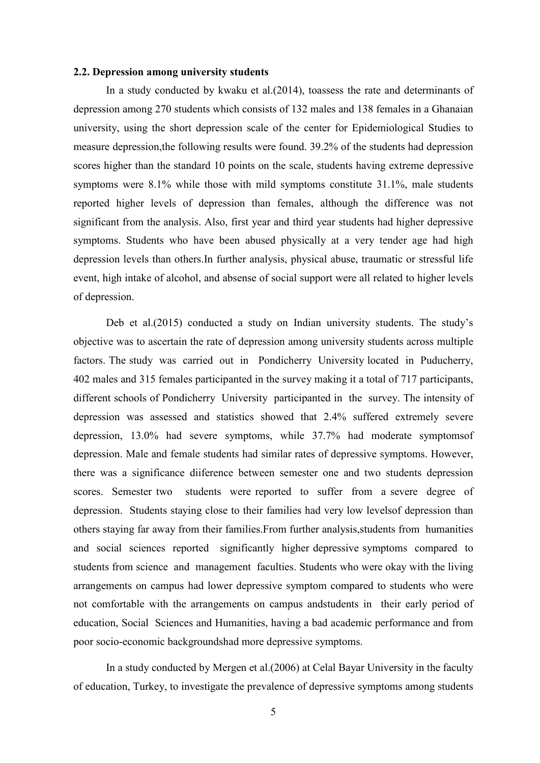#### **2.2. Depression among university students**

 In a study conducted by kwaku et al.(2014), toassess the rate and determinants of depression among 270 students which consists of 132 males and 138 females in a Ghanaian university, using the short depression scale of the center for Epidemiological Studies to measure depression,the following results were found. 39.2% of the students had depression scores higher than the standard 10 points on the scale, students having extreme depressive symptoms were 8.1% while those with mild symptoms constitute 31.1%, male students reported higher levels of depression than females, although the difference was not significant from the analysis. Also, first year and third year students had higher depressive symptoms. Students who have been abused physically at a very tender age had high depression levels than others.In further analysis, physical abuse, traumatic or stressful life event, high intake of alcohol, and absense of social support were all related to higher levels of depression.

 Deb et al.(2015) conducted a study on Indian university students. The study's objective was to ascertain the rate of depression among university students across multiple factors. The study was carried out in Pondicherry University located in Puducherry, 402 males and 315 females participanted in the survey making it a total of 717 participants, different schools of Pondicherry University participanted in the survey. The intensity of depression was assessed and statistics showed that 2.4% suffered extremely severe depression, 13.0% had severe symptoms, while 37.7% had moderate symptomsof depression. Male and female students had similar rates of depressive symptoms. However, there was a significance diiference between semester one and two students depression scores. Semester two students were reported to suffer from a severe degree of depression. Students staying close to their families had very low levelsof depression than others staying far away from their families.From further analysis,students from humanities and social sciences reported significantly higher depressive symptoms compared to students from science and management faculties. Students who were okay with the living arrangements on campus had lower depressive symptom compared to students who were not comfortable with the arrangements on campus andstudents in their early period of education, Social Sciences and Humanities, having a bad academic performance and from poor socio-economic backgroundshad more depressive symptoms.

 In a study conducted by Mergen et al.(2006) at Celal Bayar University in the faculty of education, Turkey, to investigate the prevalence of depressive symptoms among students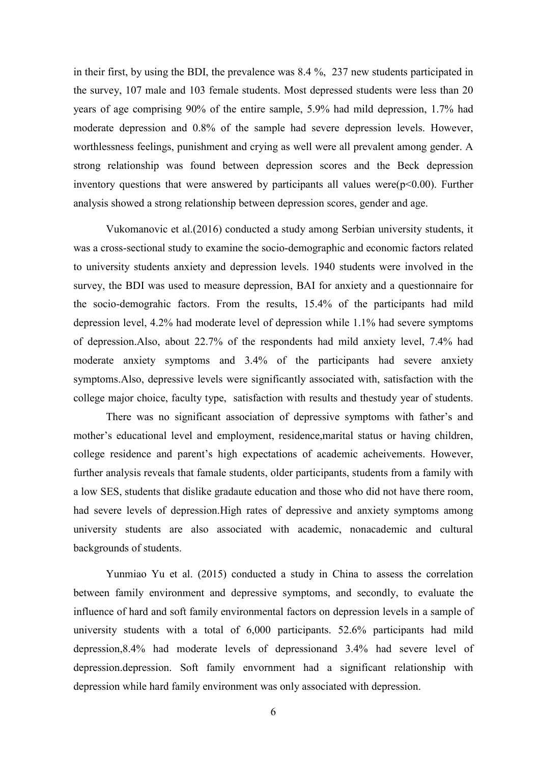in their first, by using the BDI, the prevalence was 8.4 %, 237 new students participated in the survey, 107 male and 103 female students. Most depressed students were less than 20 years of age comprising 90% of the entire sample, 5.9% had mild depression, 1.7% had moderate depression and 0.8% of the sample had severe depression levels. However, worthlessness feelings, punishment and crying as well were all prevalent among gender. A strong relationship was found between depression scores and the Beck depression inventory questions that were answered by participants all values were( $p<0.00$ ). Further analysis showed a strong relationship between depression scores, gender and age.

 Vukomanovic et al.(2016) conducted a study among Serbian university students, it was a cross-sectional study to examine the socio-demographic and economic factors related to university students anxiety and depression levels. 1940 students were involved in the survey, the BDI was used to measure depression, BAI for anxiety and a questionnaire for the socio-demograhic factors. From the results, 15.4% of the participants had mild depression level, 4.2% had moderate level of depression while 1.1% had severe symptoms of depression.Also, about 22.7% of the respondents had mild anxiety level, 7.4% had moderate anxiety symptoms and 3.4% of the participants had severe anxiety symptoms.Also, depressive levels were significantly associated with, satisfaction with the college major choice, faculty type, satisfaction with results and thestudy year of students.

 There was no significant association of depressive symptoms with father's and mother's educational level and employment, residence,marital status or having children, college residence and parent's high expectations of academic acheivements. However, further analysis reveals that famale students, older participants, students from a family with a low SES, students that dislike gradaute education and those who did not have there room, had severe levels of depression.High rates of depressive and anxiety symptoms among university students are also associated with academic, nonacademic and cultural backgrounds of students.

 Yunmiao Yu et al. (2015) conducted a study in China to assess the correlation between family environment and depressive symptoms, and secondly, to evaluate the influence of hard and soft family environmental factors on depression levels in a sample of university students with a total of 6,000 participants. 52.6% participants had mild depression,8.4% had moderate levels of depressionand 3.4% had severe level of depression.depression. Soft family envornment had a significant relationship with depression while hard family environment was only associated with depression.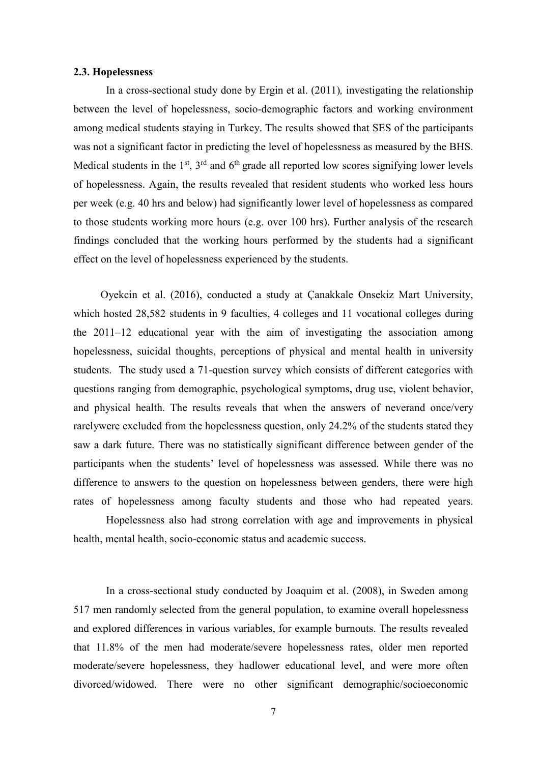#### **2.3. Hopelessness**

In a cross-sectional study done by Ergin et al. (2011)*,* investigating the relationship between the level of hopelessness, socio-demographic factors and working environment among medical students staying in Turkey. The results showed that SES of the participants was not a significant factor in predicting the level of hopelessness as measured by the BHS. Medical students in the  $1<sup>st</sup>$ ,  $3<sup>rd</sup>$  and  $6<sup>th</sup>$  grade all reported low scores signifying lower levels of hopelessness. Again, the results revealed that resident students who worked less hours per week (e.g. 40 hrs and below) had significantly lower level of hopelessness as compared to those students working more hours (e.g. over 100 hrs). Further analysis of the research findings concluded that the working hours performed by the students had a significant effect on the level of hopelessness experienced by the students.

 Oyekcin et al. (2016), conducted a study at Çanakkale Onsekiz Mart University, which hosted 28,582 students in 9 faculties, 4 colleges and 11 vocational colleges during the 2011–12 educational year with the aim of investigating the association among hopelessness, suicidal thoughts, perceptions of physical and mental health in university students. The study used a 71-question survey which consists of different categories with questions ranging from demographic, psychological symptoms, drug use, violent behavior, and physical health. The results reveals that when the answers of neverand once/very rarelywere excluded from the hopelessness question, only 24.2% of the students stated they saw a dark future. There was no statistically significant difference between gender of the participants when the students' level of hopelessness was assessed. While there was no difference to answers to the question on hopelessness between genders, there were high rates of hopelessness among faculty students and those who had repeated years.

 Hopelessness also had strong correlation with age and improvements in physical health, mental health, socio-economic status and academic success.

 In a cross-sectional study conducted by Joaquim et al. (2008), in Sweden among 517 men randomly selected from the general population, to examine overall hopelessness and explored differences in various variables, for example burnouts. The results revealed that 11.8% of the men had moderate/severe hopelessness rates, older men reported moderate/severe hopelessness, they hadlower educational level, and were more often divorced/widowed. There were no other significant demographic/socioeconomic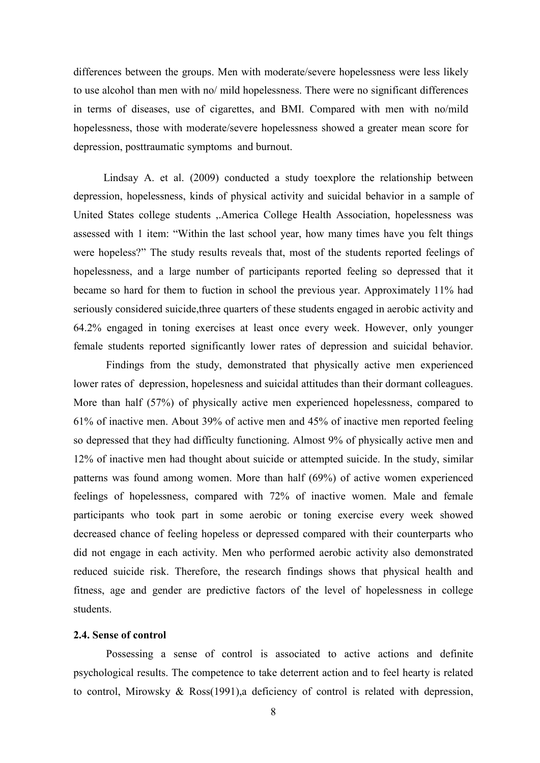differences between the groups. Men with moderate/severe hopelessness were less likely to use alcohol than men with no/ mild hopelessness. There were no significant differences in terms of diseases, use of cigarettes, and BMI. Compared with men with no/mild hopelessness, those with moderate/severe hopelessness showed a greater mean score for depression, posttraumatic symptoms and burnout.

 Lindsay A. et al. (2009) conducted a study toexplore the relationship between depression, hopelessness, kinds of physical activity and suicidal behavior in a sample of United States college students ,.America College Health Association, hopelessness was assessed with 1 item: "Within the last school year, how many times have you felt things were hopeless?" The study results reveals that, most of the students reported feelings of hopelessness, and a large number of participants reported feeling so depressed that it became so hard for them to fuction in school the previous year. Approximately 11% had seriously considered suicide,three quarters of these students engaged in aerobic activity and 64.2% engaged in toning exercises at least once every week. However, only younger female students reported significantly lower rates of depression and suicidal behavior.

 Findings from the study, demonstrated that physically active men experienced lower rates of depression, hopelesness and suicidal attitudes than their dormant colleagues. More than half (57%) of physically active men experienced hopelessness, compared to 61% of inactive men. About 39% of active men and 45% of inactive men reported feeling so depressed that they had difficulty functioning. Almost 9% of physically active men and 12% of inactive men had thought about suicide or attempted suicide. In the study, similar patterns was found among women. More than half (69%) of active women experienced feelings of hopelessness, compared with 72% of inactive women. Male and female participants who took part in some aerobic or toning exercise every week showed decreased chance of feeling hopeless or depressed compared with their counterparts who did not engage in each activity. Men who performed aerobic activity also demonstrated reduced suicide risk. Therefore, the research findings shows that physical health and fitness, age and gender are predictive factors of the level of hopelessness in college students.

### **2.4. Sense of control**

 Possessing a sense of control is associated to active actions and definite psychological results. The competence to take deterrent action and to feel hearty is related to control, Mirowsky & Ross(1991),a deficiency of control is related with depression,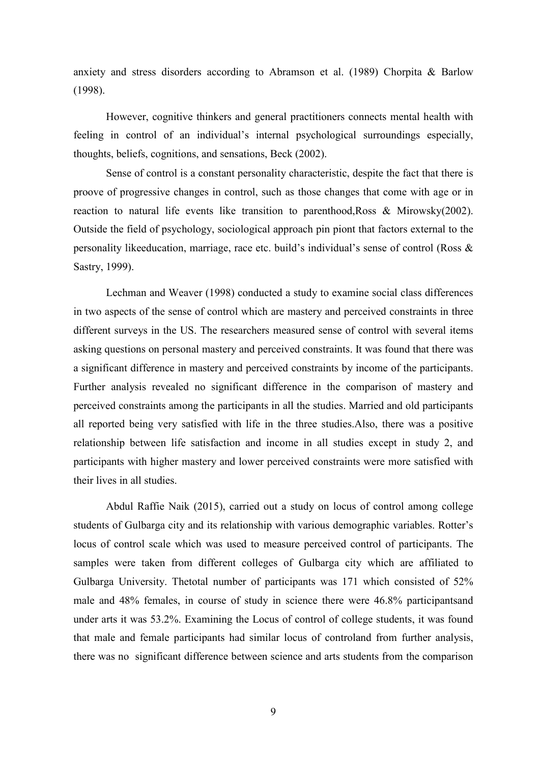anxiety and stress disorders according to Abramson et al. (1989) Chorpita & Barlow (1998).

 However, cognitive thinkers and general practitioners connects mental health with feeling in control of an individual's internal psychological surroundings especially, thoughts, beliefs, cognitions, and sensations, Beck (2002).

 Sense of control is a constant personality characteristic, despite the fact that there is proove of progressive changes in control, such as those changes that come with age or in reaction to natural life events like transition to parenthood,Ross & Mirowsky(2002). Outside the field of psychology, sociological approach pin piont that factors external to the personality likeeducation, marriage, race etc. build's individual's sense of control (Ross & Sastry, 1999).

 Lechman and Weaver (1998) conducted a study to examine social class differences in two aspects of the sense of control which are mastery and perceived constraints in three different surveys in the US. The researchers measured sense of control with several items asking questions on personal mastery and perceived constraints. It was found that there was a significant difference in mastery and perceived constraints by income of the participants. Further analysis revealed no significant difference in the comparison of mastery and perceived constraints among the participants in all the studies. Married and old participants all reported being very satisfied with life in the three studies.Also, there was a positive relationship between life satisfaction and income in all studies except in study 2, and participants with higher mastery and lower perceived constraints were more satisfied with their lives in all studies.

 Abdul Raffie Naik (2015), carried out a study on locus of control among college students of Gulbarga city and its relationship with various demographic variables. Rotter's locus of control scale which was used to measure perceived control of participants. The samples were taken from different colleges of Gulbarga city which are affiliated to Gulbarga University. Thetotal number of participants was 171 which consisted of 52% male and 48% females, in course of study in science there were 46.8% participantsand under arts it was 53.2%. Examining the Locus of control of college students, it was found that male and female participants had similar locus of controland from further analysis, there was no significant difference between science and arts students from the comparison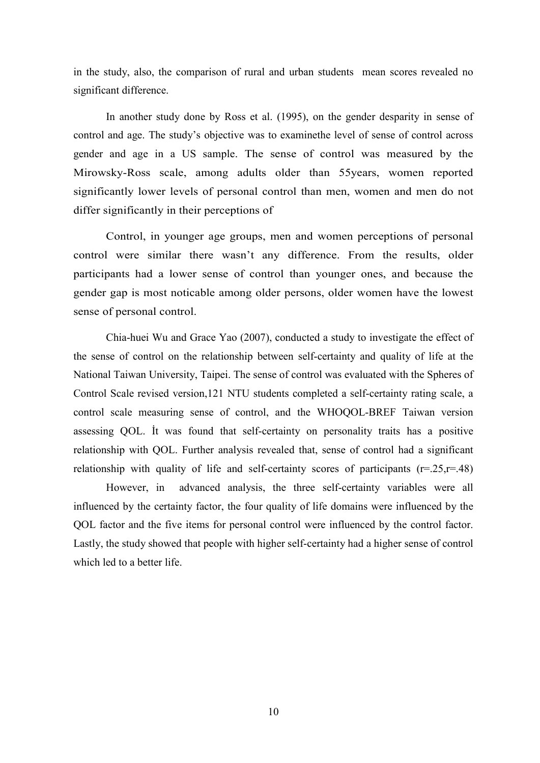in the study, also, the comparison of rural and urban students mean scores revealed no significant difference.

 In another study done by Ross et al. (1995), on the gender desparity in sense of control and age. The study's objective was to examinethe level of sense of control across gender and age in a US sample. The sense of control was measured by the Mirowsky-Ross scale, among adults older than 55years, women reported significantly lower levels of personal control than men, women and men do not differ significantly in their perceptions of

 Control, in younger age groups, men and women perceptions of personal control were similar there wasn't any difference. From the results, older participants had a lower sense of control than younger ones, and because the gender gap is most noticable among older persons, older women have the lowest sense of personal control.

 Chia-huei Wu and Grace Yao (2007), conducted a study to investigate the effect of the sense of control on the relationship between self-certainty and quality of life at the National Taiwan University, Taipei. The sense of control was evaluated with the Spheres of Control Scale revised version,121 NTU students completed a self-certainty rating scale, a control scale measuring sense of control, and the WHOQOL-BREF Taiwan version assessing QOL. İt was found that self-certainty on personality traits has a positive relationship with QOL. Further analysis revealed that, sense of control had a significant relationship with quality of life and self-certainty scores of participants  $(r=.25, r=.48)$ 

 However, in advanced analysis, the three self-certainty variables were all influenced by the certainty factor, the four quality of life domains were influenced by the QOL factor and the five items for personal control were influenced by the control factor. Lastly, the study showed that people with higher self-certainty had a higher sense of control which led to a better life.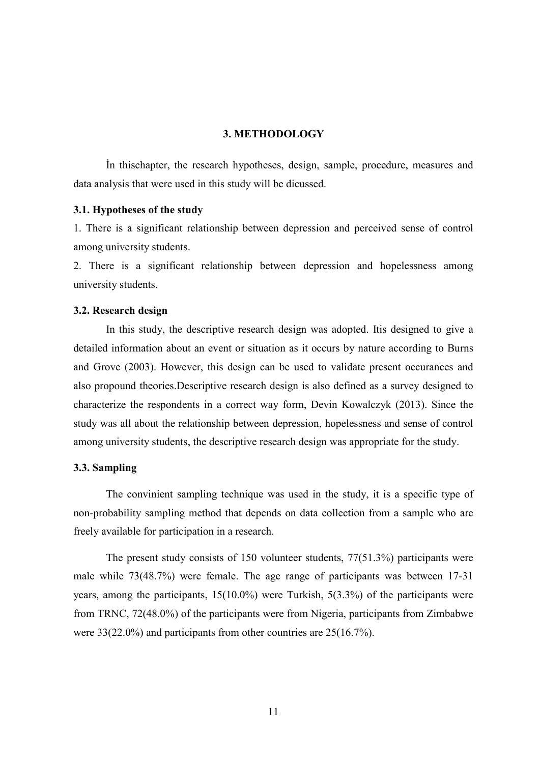#### **3. METHODOLOGY**

 İn thischapter, the research hypotheses, design, sample, procedure, measures and data analysis that were used in this study will be dicussed.

#### **3.1. Hypotheses of the study**

1. There is a significant relationship between depression and perceived sense of control among university students.

2. There is a significant relationship between depression and hopelessness among university students.

#### **3.2. Research design**

 In this study, the descriptive research design was adopted. Itis designed to give a detailed information about an event or situation as it occurs by nature according to Burns and Grove (2003). However, this design can be used to validate present occurances and also propound theories.Descriptive research design is also defined as a survey designed to characterize the respondents in a correct way form, Devin Kowalczyk (2013). Since the study was all about the relationship between depression, hopelessness and sense of control among university students, the descriptive research design was appropriate for the study.

#### **3.3. Sampling**

 The convinient sampling technique was used in the study, it is a specific type of non-probability sampling method that depends on data collection from a sample who are freely available for participation in a research.

 The present study consists of 150 volunteer students, 77(51.3%) participants were male while 73(48.7%) were female. The age range of participants was between 17-31 years, among the participants, 15(10.0%) were Turkish, 5(3.3%) of the participants were from TRNC, 72(48.0%) of the participants were from Nigeria, participants from Zimbabwe were 33(22.0%) and participants from other countries are 25(16.7%).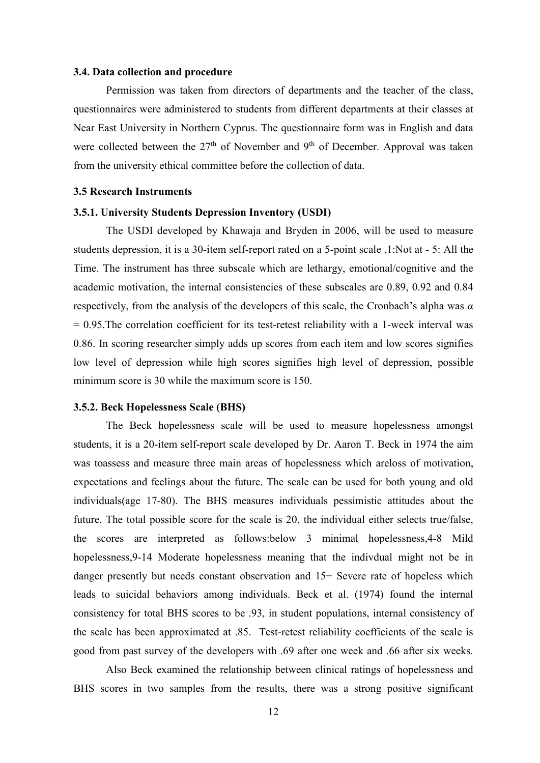#### **3.4. Data collection and procedure**

 Permission was taken from directors of departments and the teacher of the class, questionnaires were administered to students from different departments at their classes at Near East University in Northern Cyprus. The questionnaire form was in English and data were collected between the  $27<sup>th</sup>$  of November and 9<sup>th</sup> of December. Approval was taken from the university ethical committee before the collection of data.

#### **3.5 Research Instruments**

#### **3.5.1. University Students Depression Inventory (USDI)**

 The USDI developed by Khawaja and Bryden in 2006, will be used to measure students depression, it is a 30-item self-report rated on a 5-point scale ,1:Not at - 5: All the Time. The instrument has three subscale which are lethargy, emotional/cognitive and the academic motivation, the internal consistencies of these subscales are 0.89, 0.92 and 0.84 respectively, from the analysis of the developers of this scale, the Cronbach's alpha was *α* = 0.95.The correlation coefficient for its test-retest reliability with a 1-week interval was 0.86. In scoring researcher simply adds up scores from each item and low scores signifies low level of depression while high scores signifies high level of depression, possible minimum score is 30 while the maximum score is 150.

#### **3.5.2. Beck Hopelessness Scale (BHS)**

 The Beck hopelessness scale will be used to measure hopelessness amongst students, it is a 20-item self-report scale developed by Dr. Aaron T. Beck in 1974 the aim was toassess and measure three main areas of hopelessness which areloss of motivation, expectations and feelings about the future. The scale can be used for both young and old individuals(age 17-80). The BHS measures individuals pessimistic attitudes about the future. The total possible score for the scale is 20, the individual either selects true/false, the scores are interpreted as follows:below 3 minimal hopelessness,4-8 Mild hopelessness,9-14 Moderate hopelessness meaning that the indivdual might not be in danger presently but needs constant observation and 15+ Severe rate of hopeless which leads to suicidal behaviors among individuals. Beck et al. (1974) found the internal consistency for total BHS scores to be .93, in student populations, internal consistency of the scale has been approximated at .85. Test-retest reliability coefficients of the scale is good from past survey of the developers with .69 after one week and .66 after six weeks.

 Also Beck examined the relationship between clinical ratings of hopelessness and BHS scores in two samples from the results, there was a strong positive significant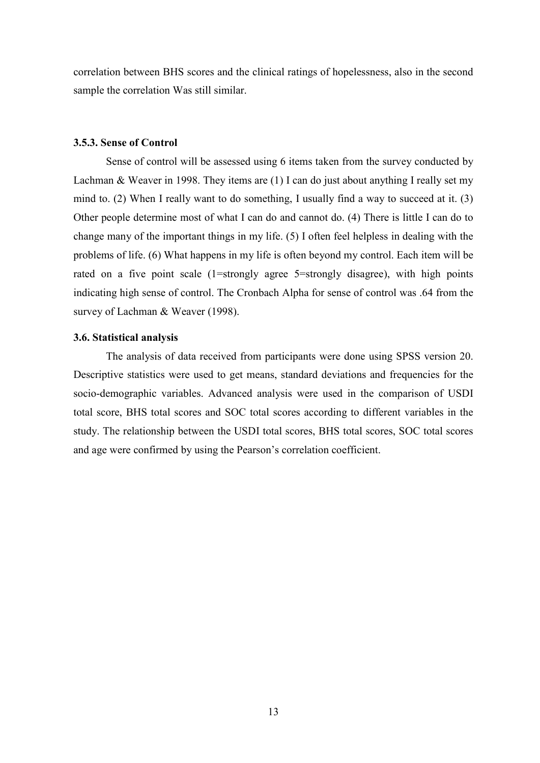correlation between BHS scores and the clinical ratings of hopelessness, also in the second sample the correlation Was still similar.

#### **3.5.3. Sense of Control**

 Sense of control will be assessed using 6 items taken from the survey conducted by Lachman & Weaver in 1998. They items are (1) I can do just about anything I really set my mind to. (2) When I really want to do something, I usually find a way to succeed at it. (3) Other people determine most of what I can do and cannot do. (4) There is little I can do to change many of the important things in my life. (5) I often feel helpless in dealing with the problems of life. (6) What happens in my life is often beyond my control. Each item will be rated on a five point scale (1=strongly agree 5=strongly disagree), with high points indicating high sense of control. The Cronbach Alpha for sense of control was .64 from the survey of Lachman & Weaver (1998).

#### **3.6. Statistical analysis**

 The analysis of data received from participants were done using SPSS version 20. Descriptive statistics were used to get means, standard deviations and frequencies for the socio-demographic variables. Advanced analysis were used in the comparison of USDI total score, BHS total scores and SOC total scores according to different variables in the study. The relationship between the USDI total scores, BHS total scores, SOC total scores and age were confirmed by using the Pearson's correlation coefficient.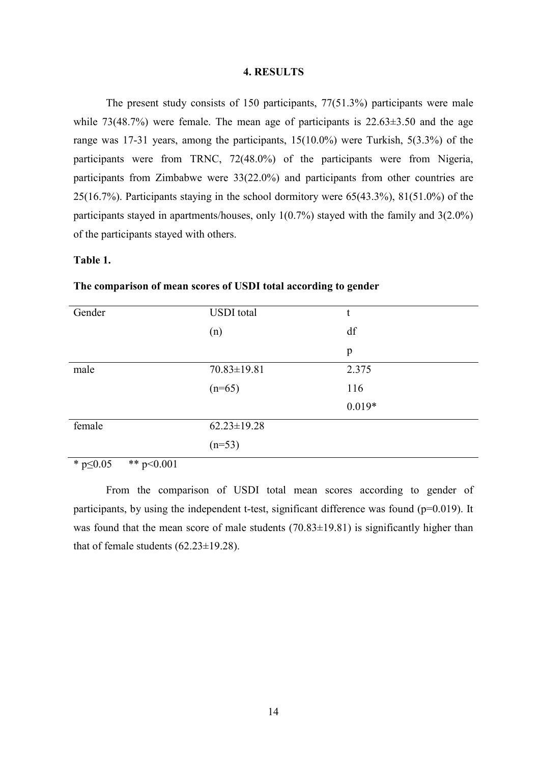#### **4. RESULTS**

 The present study consists of 150 participants, 77(51.3%) participants were male while  $73(48.7%)$  were female. The mean age of participants is  $22.63\pm3.50$  and the age range was 17-31 years, among the participants, 15(10.0%) were Turkish, 5(3.3%) of the participants were from TRNC, 72(48.0%) of the participants were from Nigeria, participants from Zimbabwe were 33(22.0%) and participants from other countries are 25(16.7%). Participants staying in the school dormitory were 65(43.3%), 81(51.0%) of the participants stayed in apartments/houses, only 1(0.7%) stayed with the family and 3(2.0%) of the participants stayed with others.

### **Table 1.**

| Gender | <b>USDI</b> total | t        |
|--------|-------------------|----------|
|        | (n)               | df       |
|        |                   | p        |
| male   | $70.83 \pm 19.81$ | 2.375    |
|        | $(n=65)$          | 116      |
|        |                   | $0.019*$ |
| female | $62.23 \pm 19.28$ |          |
|        | $(n=53)$          |          |

### **The comparison of mean scores of USDI total according to gender**

\*  $p \le 0.05$  \*\*  $p \le 0.001$ 

 From the comparison of USDI total mean scores according to gender of participants, by using the independent t-test, significant difference was found ( $p=0.019$ ). It was found that the mean score of male students  $(70.83\pm19.81)$  is significantly higher than that of female students  $(62.23 \pm 19.28)$ .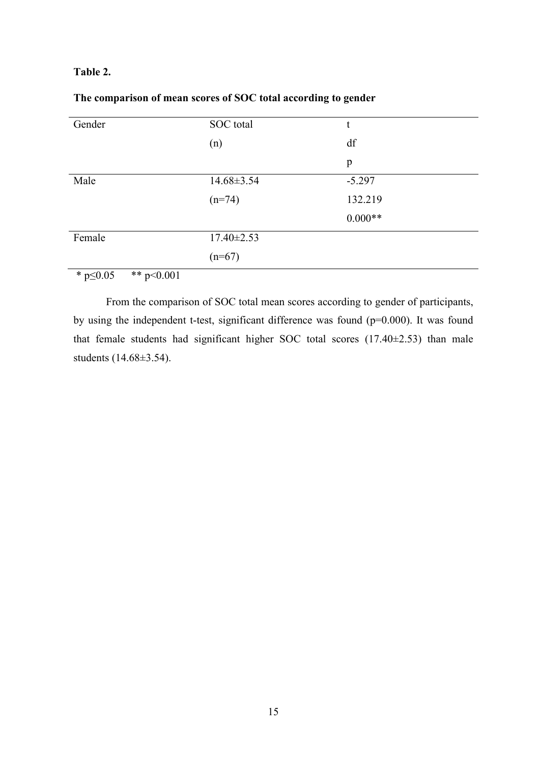### **Table 2.**

| Gender | SOC total        | t         |
|--------|------------------|-----------|
|        | (n)              | df        |
|        |                  | p         |
| Male   | $14.68 \pm 3.54$ | $-5.297$  |
|        | $(n=74)$         | 132.219   |
|        |                  | $0.000**$ |
| Female | $17.40 \pm 2.53$ |           |
|        | $(n=67)$         |           |

# **The comparison of mean scores of SOC total according to gender**

\*  $p \le 0.05$  \*\*  $p \le 0.001$ 

 From the comparison of SOC total mean scores according to gender of participants, by using the independent t-test, significant difference was found (p=0.000). It was found that female students had significant higher SOC total scores (17.40±2.53) than male students (14.68±3.54).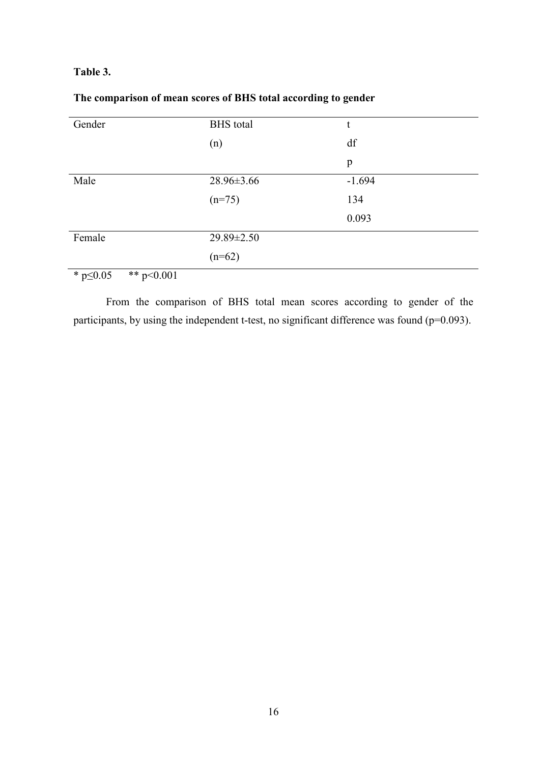### **Table 3.**

| Gender                                                              | <b>BHS</b> total | t        |
|---------------------------------------------------------------------|------------------|----------|
|                                                                     | (n)              | df       |
|                                                                     |                  | p        |
| Male                                                                | 28.96±3.66       | $-1.694$ |
|                                                                     | $(n=75)$         | 134      |
|                                                                     |                  | 0.093    |
| Female                                                              | 29.89±2.50       |          |
|                                                                     | $(n=62)$         |          |
| مله مله<br>$\mathcal{L}$ $\mathcal{L}$ $\mathcal{L}$<br>$\sim$ 0.01 |                  |          |

# **The comparison of mean scores of BHS total according to gender**

 $*$  p $\leq 0.05$   $*$  p $\leq 0.001$ 

 From the comparison of BHS total mean scores according to gender of the participants, by using the independent t-test, no significant difference was found (p=0.093).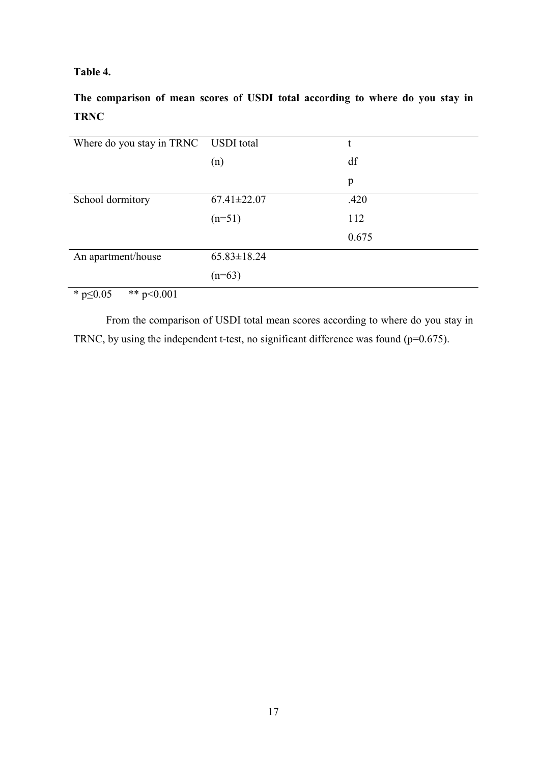# **Table 4.**

**The comparison of mean scores of USDI total according to where do you stay in TRNC** 

| Where do you stay in TRNC USDI total |                   | t     |
|--------------------------------------|-------------------|-------|
|                                      | (n)               | df    |
|                                      |                   | p     |
| School dormitory                     | $67.41 \pm 22.07$ | .420  |
|                                      | $(n=51)$          | 112   |
|                                      |                   | 0.675 |
| An apartment/house                   | $65.83 \pm 18.24$ |       |
|                                      | $(n=63)$          |       |
| $* - 0.05$<br>$** - 20.001$          |                   |       |

 $\overline{\text{* } p \leq 0.05 \text{ } \text{ } \text{ } \text{* } p \leq 0.001}$ 

 From the comparison of USDI total mean scores according to where do you stay in TRNC, by using the independent t-test, no significant difference was found ( $p=0.675$ ).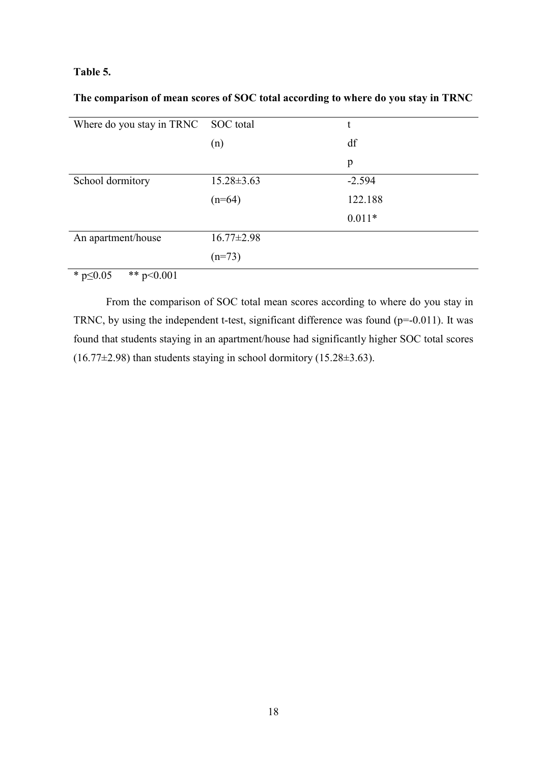### **Table 5.**

**The comparison of mean scores of SOC total according to where do you stay in TRNC** 

| Where do you stay in TRNC SOC total                              |                  | t        |
|------------------------------------------------------------------|------------------|----------|
|                                                                  | (n)              | df       |
|                                                                  |                  | p        |
| School dormitory                                                 | $15.28 \pm 3.63$ | $-2.594$ |
|                                                                  | $(n=64)$         | 122.188  |
|                                                                  |                  | $0.011*$ |
| An apartment/house                                               | $16.77 \pm 2.98$ |          |
|                                                                  | $(n=73)$         |          |
| $\mathbf{u}$ $\mathbf{v}$ $\mathbf{v}$<br>ملم ماه<br>$\sim$ 0.01 |                  |          |

 $*$  p $\leq 0.05$   $*$   $*$  p $\leq 0.001$ 

 From the comparison of SOC total mean scores according to where do you stay in TRNC, by using the independent t-test, significant difference was found ( $p=0.011$ ). It was found that students staying in an apartment/house had significantly higher SOC total scores  $(16.77\pm2.98)$  than students staying in school dormitory  $(15.28\pm3.63)$ .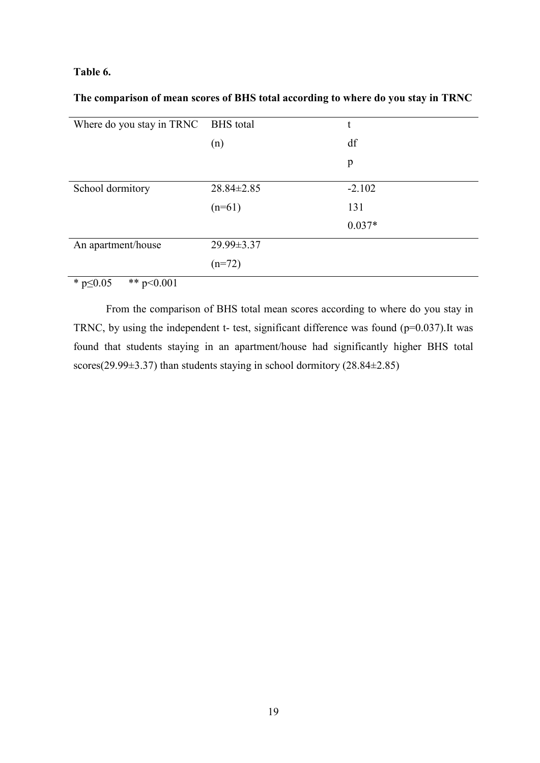### **Table 6.**

**The comparison of mean scores of BHS total according to where do you stay in TRNC** 

| Where do you stay in TRNC BHS total |                  | t        |
|-------------------------------------|------------------|----------|
|                                     | (n)              | df       |
|                                     |                  | p        |
| School dormitory                    | $28.84 \pm 2.85$ | $-2.102$ |
|                                     | $(n=61)$         | 131      |
|                                     |                  | $0.037*$ |
| An apartment/house                  | 29.99±3.37       |          |
|                                     | $(n=72)$         |          |
| $\star$ $\sim$ 0.5<br>44.001        |                  |          |

\*  $p \le 0.05$  \*\*  $p \le 0.001$ 

 From the comparison of BHS total mean scores according to where do you stay in TRNC, by using the independent t- test, significant difference was found  $(p=0.037)$ .It was found that students staying in an apartment/house had significantly higher BHS total scores(29.99 $\pm$ 3.37) than students staying in school dormitory (28.84 $\pm$ 2.85)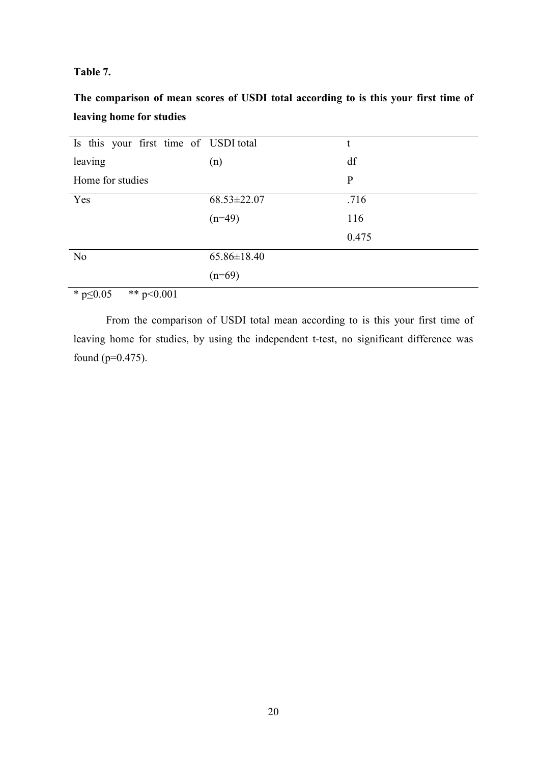### **Table 7.**

**The comparison of mean scores of USDI total according to is this your first time of leaving home for studies** 

| Is this your first time of USDI total                                                                                                                                                                                                                                                                                              |                   | t            |
|------------------------------------------------------------------------------------------------------------------------------------------------------------------------------------------------------------------------------------------------------------------------------------------------------------------------------------|-------------------|--------------|
| leaving                                                                                                                                                                                                                                                                                                                            | (n)               | df           |
| Home for studies                                                                                                                                                                                                                                                                                                                   |                   | $\mathbf{P}$ |
| Yes                                                                                                                                                                                                                                                                                                                                | $68.53 \pm 22.07$ | .716         |
|                                                                                                                                                                                                                                                                                                                                    | $(n=49)$          | 116          |
|                                                                                                                                                                                                                                                                                                                                    |                   | 0.475        |
| N <sub>o</sub>                                                                                                                                                                                                                                                                                                                     | $65.86 \pm 18.40$ |              |
|                                                                                                                                                                                                                                                                                                                                    | $(n=69)$          |              |
| $\mathbf{a}$ $\mathbf{b}$ $\mathbf{c}$ $\mathbf{d}$ $\mathbf{d}$ $\mathbf{d}$ $\mathbf{c}$ $\mathbf{d}$ $\mathbf{d}$ $\mathbf{d}$ $\mathbf{d}$ $\mathbf{d}$ $\mathbf{d}$ $\mathbf{d}$ $\mathbf{d}$ $\mathbf{d}$ $\mathbf{d}$ $\mathbf{d}$ $\mathbf{d}$ $\mathbf{d}$ $\mathbf{d}$ $\mathbf{d}$ $\mathbf{d}$ $\mathbf{d}$ $\mathbf{$ |                   |              |

 $*$  p $\leq 0.05$   $*$  p $\leq 0.001$ 

 From the comparison of USDI total mean according to is this your first time of leaving home for studies, by using the independent t-test, no significant difference was found (p=0.475).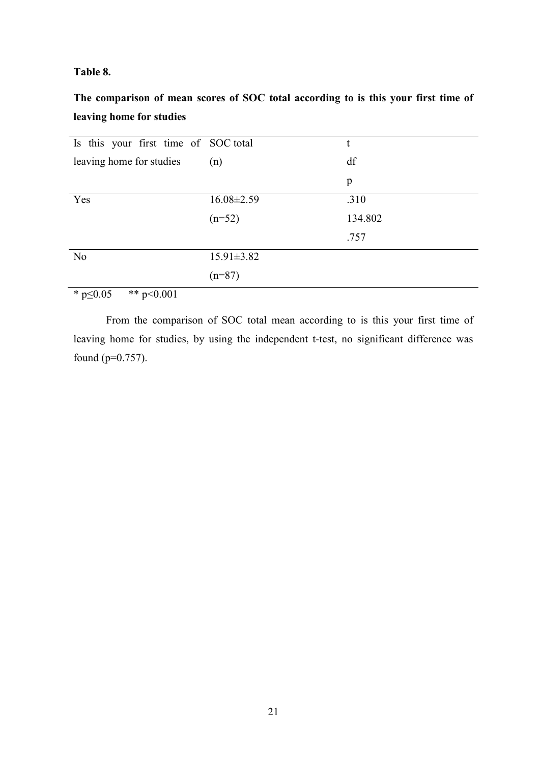### **Table 8.**

**The comparison of mean scores of SOC total according to is this your first time of leaving home for studies**

| Is this your first time of SOC total                   |                  | t       |
|--------------------------------------------------------|------------------|---------|
| leaving home for studies                               | (n)              | df      |
|                                                        |                  | p       |
| Yes                                                    | $16.08 \pm 2.59$ | .310    |
|                                                        | $(n=52)$         | 134.802 |
|                                                        |                  | .757    |
| N <sub>o</sub>                                         | $15.91 \pm 3.82$ |         |
|                                                        | $(n=87)$         |         |
| $\mathbf{a}$ $\mathbf{a}$ $\mathbf{a}$<br>$\mathbf{a}$ |                  |         |

 $*$  p $\leq 0.05$   $*$  p $\leq 0.001$ 

 From the comparison of SOC total mean according to is this your first time of leaving home for studies, by using the independent t-test, no significant difference was found (p=0.757).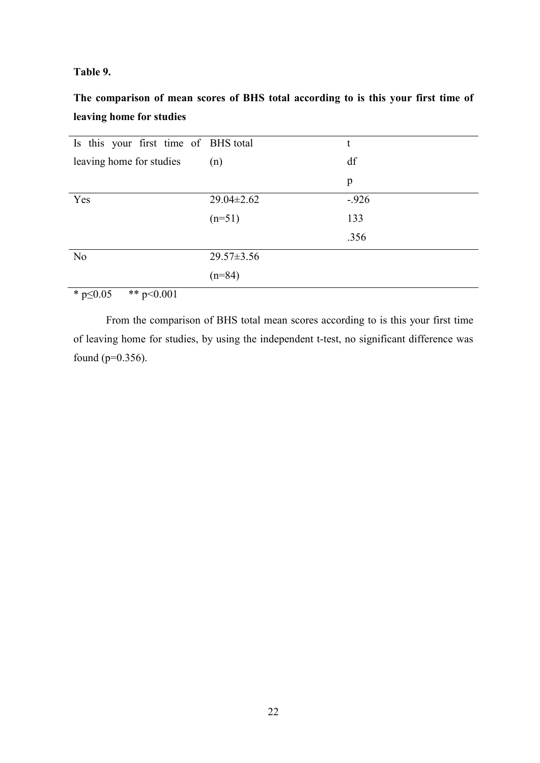### **Table 9.**

**The comparison of mean scores of BHS total according to is this your first time of leaving home for studies**

| Is this your first time of BHS total                             |                  | t       |
|------------------------------------------------------------------|------------------|---------|
| leaving home for studies                                         | (n)              | df      |
|                                                                  |                  | p       |
| Yes                                                              | $29.04 \pm 2.62$ | $-.926$ |
|                                                                  | $(n=51)$         | 133     |
|                                                                  |                  | .356    |
| N <sub>o</sub>                                                   | $29.57 \pm 3.56$ |         |
|                                                                  | $(n=84)$         |         |
| $\mathbf{a}$ $\mathbf{b}$ $\mathbf{c}$ $\mathbf{c}$ $\mathbf{d}$ |                  |         |

 $*$  p $\leq$ 0.05  $*$   $*$  p $\leq$ 0.001

 From the comparison of BHS total mean scores according to is this your first time of leaving home for studies, by using the independent t-test, no significant difference was found (p=0.356).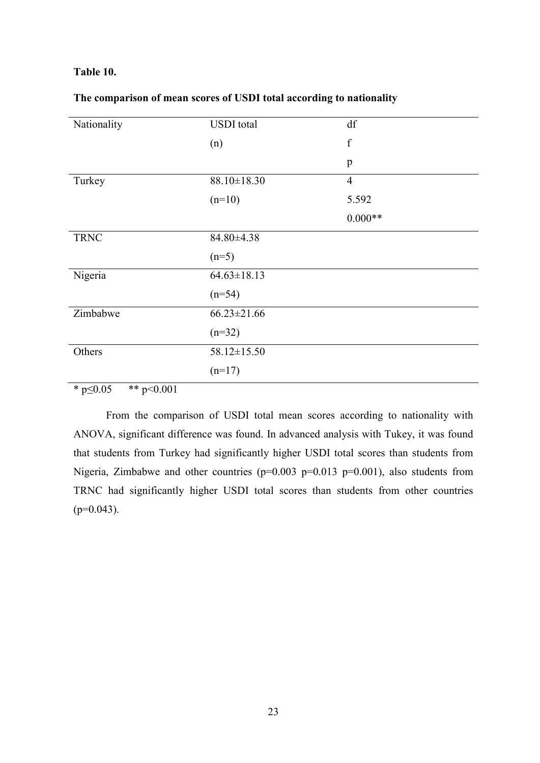### **Table 10.**

| Nationality | <b>USDI</b> total | df             |
|-------------|-------------------|----------------|
|             | (n)               | $\mathbf f$    |
|             |                   | $\, {\bf p}$   |
| Turkey      | $88.10 \pm 18.30$ | $\overline{4}$ |
|             | $(n=10)$          | 5.592          |
|             |                   | $0.000**$      |
| <b>TRNC</b> | 84.80±4.38        |                |
|             | $(n=5)$           |                |
| Nigeria     | $64.63 \pm 18.13$ |                |
|             | $(n=54)$          |                |
| Zimbabwe    | $66.23 \pm 21.66$ |                |
|             | $(n=32)$          |                |
| Others      | 58.12±15.50       |                |
|             | $(n=17)$          |                |

### **The comparison of mean scores of USDI total according to nationality**

\*  $p \le 0.05$  \*\*  $p \le 0.001$ 

 From the comparison of USDI total mean scores according to nationality with ANOVA, significant difference was found. In advanced analysis with Tukey, it was found that students from Turkey had significantly higher USDI total scores than students from Nigeria, Zimbabwe and other countries ( $p=0.003$   $p=0.013$   $p=0.001$ ), also students from TRNC had significantly higher USDI total scores than students from other countries  $(p=0.043)$ .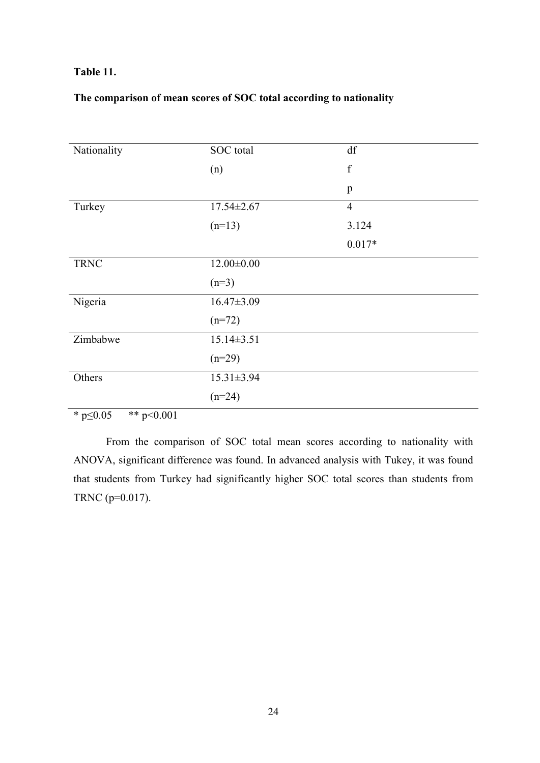### **Table 11.**

# **The comparison of mean scores of SOC total according to nationality**

| Nationality | SOC total        | df             |
|-------------|------------------|----------------|
|             | (n)              | $\mathbf f$    |
|             |                  | $\mathbf{p}$   |
| Turkey      | $17.54 \pm 2.67$ | $\overline{4}$ |
|             | $(n=13)$         | 3.124          |
|             |                  | $0.017*$       |
| <b>TRNC</b> | $12.00 \pm 0.00$ |                |
|             | $(n=3)$          |                |
| Nigeria     | $16.47 \pm 3.09$ |                |
|             | $(n=72)$         |                |
| Zimbabwe    | $15.14 \pm 3.51$ |                |
|             | $(n=29)$         |                |
| Others      | $15.31 \pm 3.94$ |                |
|             | $(n=24)$         |                |

\*  $p \le 0.05$  \*\*  $p \le 0.001$ 

 From the comparison of SOC total mean scores according to nationality with ANOVA, significant difference was found. In advanced analysis with Tukey, it was found that students from Turkey had significantly higher SOC total scores than students from TRNC (p=0.017).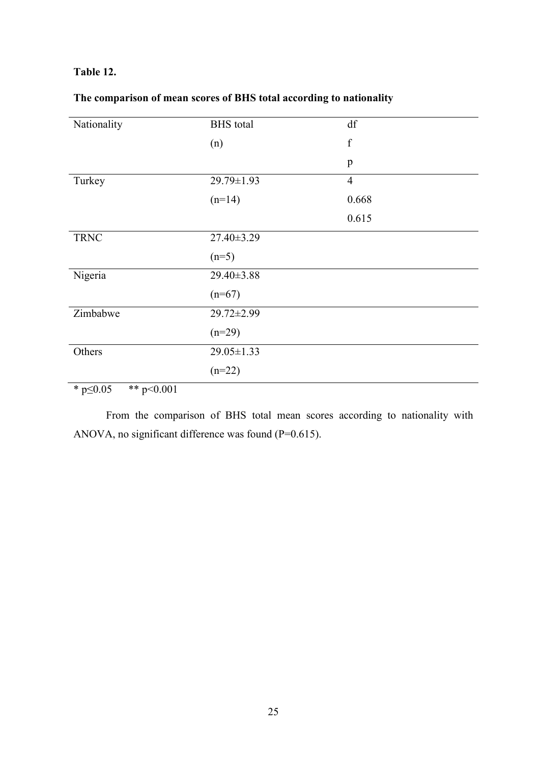### **Table 12.**

| Nationality                                                         | <b>BHS</b> total | df             |
|---------------------------------------------------------------------|------------------|----------------|
|                                                                     | (n)              | $\mathbf f$    |
|                                                                     |                  | $\mathbf{p}$   |
| Turkey                                                              | 29.79±1.93       | $\overline{4}$ |
|                                                                     | $(n=14)$         | 0.668          |
|                                                                     |                  | 0.615          |
| <b>TRNC</b>                                                         | 27.40±3.29       |                |
|                                                                     | $(n=5)$          |                |
| Nigeria                                                             | 29.40±3.88       |                |
|                                                                     | $(n=67)$         |                |
| Zimbabwe                                                            | 29.72±2.99       |                |
|                                                                     | $(n=29)$         |                |
| Others                                                              | $29.05 \pm 1.33$ |                |
|                                                                     | $(n=22)$         |                |
| مله مله<br>$\mathcal{L}$ $\mathcal{L}$ $\mathcal{L}$<br>$\sim$ 0.01 |                  |                |

# **The comparison of mean scores of BHS total according to nationality**

\*  $p \le 0.05$  \*\*  $p < 0.001$ 

 From the comparison of BHS total mean scores according to nationality with ANOVA, no significant difference was found (P=0.615).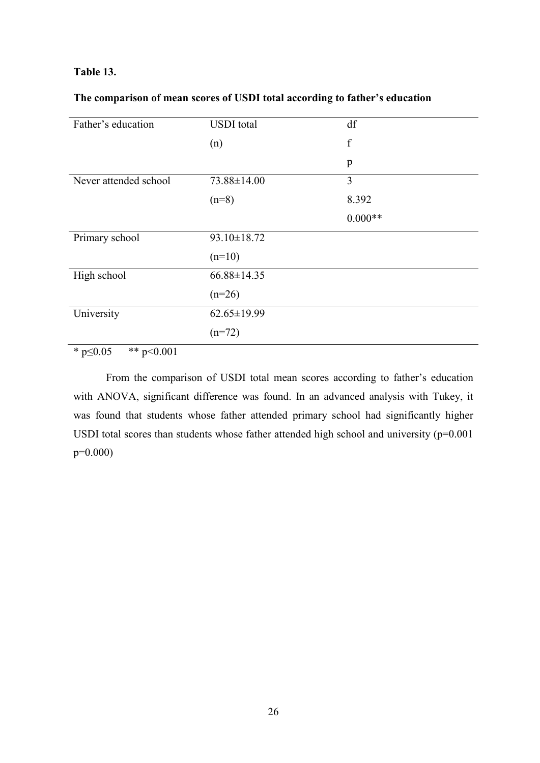### **Table 13.**

| Father's education    | <b>USDI</b> total | df          |
|-----------------------|-------------------|-------------|
|                       | (n)               | $\mathbf f$ |
|                       |                   | p           |
| Never attended school | 73.88±14.00       | 3           |
|                       | $(n=8)$           | 8.392       |
|                       |                   | $0.000**$   |
| Primary school        | 93.10±18.72       |             |
|                       | $(n=10)$          |             |
| High school           | $66.88 \pm 14.35$ |             |
|                       | $(n=26)$          |             |
| University            | $62.65 \pm 19.99$ |             |
|                       | $(n=72)$          |             |

\*  $p \le 0.05$  \*\*  $p < 0.001$ 

 From the comparison of USDI total mean scores according to father's education with ANOVA, significant difference was found. In an advanced analysis with Tukey, it was found that students whose father attended primary school had significantly higher USDI total scores than students whose father attended high school and university  $(p=0.001)$ p=0.000)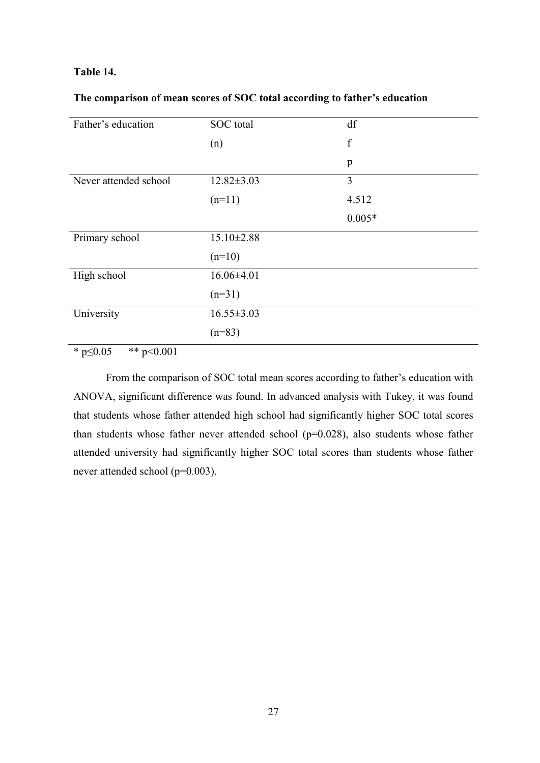### **Table 14.**

|  | The comparison of mean scores of SOC total according to father's education |  |  |  |  |
|--|----------------------------------------------------------------------------|--|--|--|--|
|--|----------------------------------------------------------------------------|--|--|--|--|

| Father's education    | SOC total        | df          |
|-----------------------|------------------|-------------|
|                       | (n)              | $\mathbf f$ |
|                       |                  | p           |
| Never attended school | $12.82 \pm 3.03$ | 3           |
|                       | $(n=11)$         | 4.512       |
|                       |                  | $0.005*$    |
| Primary school        | $15.10 \pm 2.88$ |             |
|                       | $(n=10)$         |             |
| High school           | $16.06\pm4.01$   |             |
|                       | $(n=31)$         |             |
| University            | $16.55 \pm 3.03$ |             |
|                       | $(n=83)$         |             |

\*  $p \le 0.05$  \*\*  $p \le 0.001$ 

 From the comparison of SOC total mean scores according to father's education with ANOVA, significant difference was found. In advanced analysis with Tukey, it was found that students whose father attended high school had significantly higher SOC total scores than students whose father never attended school  $(p=0.028)$ , also students whose father attended university had significantly higher SOC total scores than students whose father never attended school (p=0.003).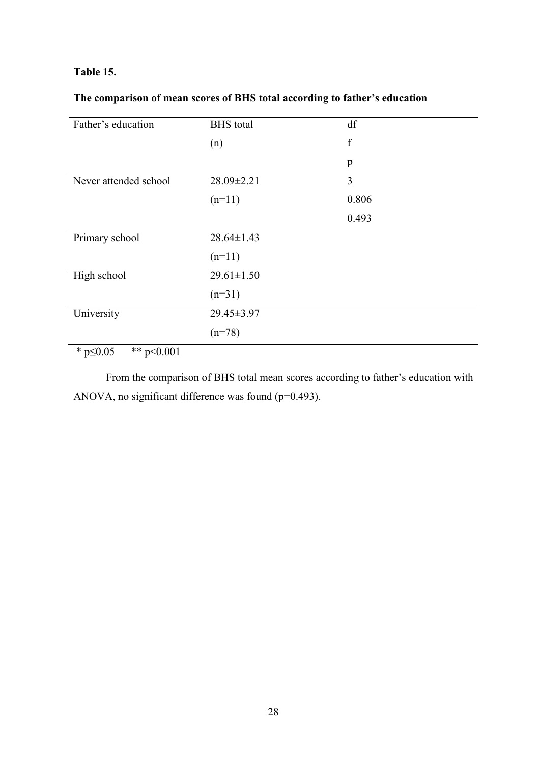### **Table 15.**

# **The comparison of mean scores of BHS total according to father's education**

| Father's education    | <b>BHS</b> total | df          |
|-----------------------|------------------|-------------|
|                       | (n)              | $\mathbf f$ |
|                       |                  | p           |
| Never attended school | 28.09±2.21       | 3           |
|                       | $(n=11)$         | 0.806       |
|                       |                  | 0.493       |
| Primary school        | $28.64 \pm 1.43$ |             |
|                       | $(n=11)$         |             |
| High school           | $29.61 \pm 1.50$ |             |
|                       | $(n=31)$         |             |
| University            | 29.45±3.97       |             |
|                       | $(n=78)$         |             |

 $*$  p $\leq$ 0.05  $*$   $*$  p $\leq$ 0.001

 From the comparison of BHS total mean scores according to father's education with ANOVA, no significant difference was found (p=0.493).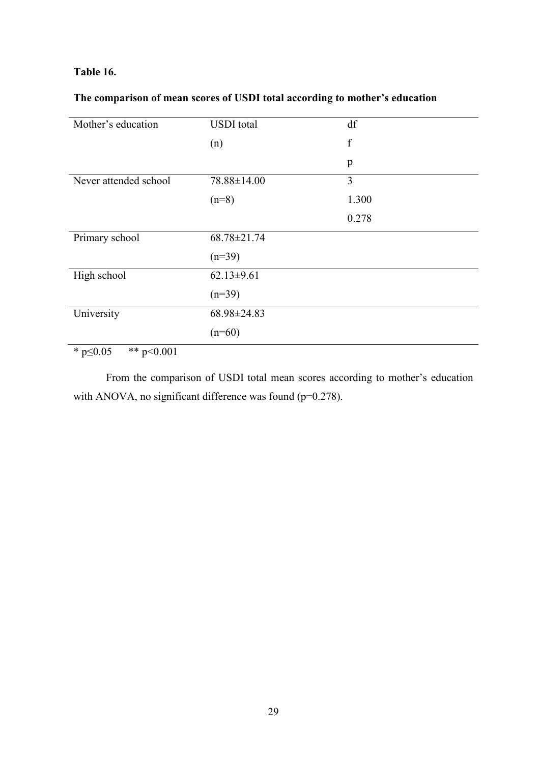# **Table 16.**

# **The comparison of mean scores of USDI total according to mother's education**

| Mother's education    | <b>USDI</b> total | df          |
|-----------------------|-------------------|-------------|
|                       | (n)               | $\mathbf f$ |
|                       |                   | p           |
| Never attended school | 78.88±14.00       | 3           |
|                       | $(n=8)$           | 1.300       |
|                       |                   | 0.278       |
| Primary school        | 68.78±21.74       |             |
|                       | $(n=39)$          |             |
| High school           | $62.13 \pm 9.61$  |             |
|                       | $(n=39)$          |             |
| University            | 68.98±24.83       |             |
|                       | $(n=60)$          |             |

\* p≤0.05 \*\* p<0.001

 From the comparison of USDI total mean scores according to mother's education with ANOVA, no significant difference was found (p=0.278).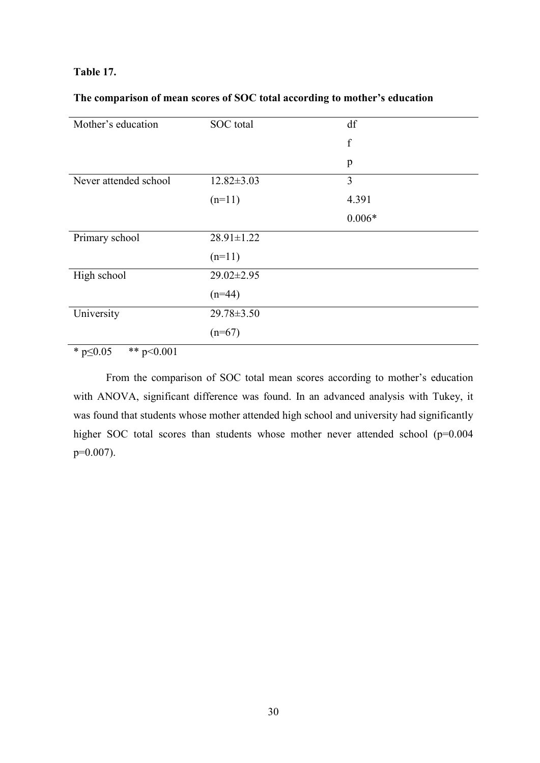### **Table 17.**

### **The comparison of mean scores of SOC total according to mother's education**

| Mother's education    | SOC total        | df          |
|-----------------------|------------------|-------------|
|                       |                  | $\mathbf f$ |
|                       |                  | p           |
| Never attended school | $12.82 \pm 3.03$ | 3           |
|                       | $(n=11)$         | 4.391       |
|                       |                  | $0.006*$    |
| Primary school        | $28.91 \pm 1.22$ |             |
|                       | $(n=11)$         |             |
| High school           | $29.02 \pm 2.95$ |             |
|                       | $(n=44)$         |             |
| University            | $29.78 \pm 3.50$ |             |
|                       | $(n=67)$         |             |

 $*$  p $\leq 0.05$   $*$  p $\leq 0.001$ 

 From the comparison of SOC total mean scores according to mother's education with ANOVA, significant difference was found. In an advanced analysis with Tukey, it was found that students whose mother attended high school and university had significantly higher SOC total scores than students whose mother never attended school (p=0.004  $p=0.007$ ).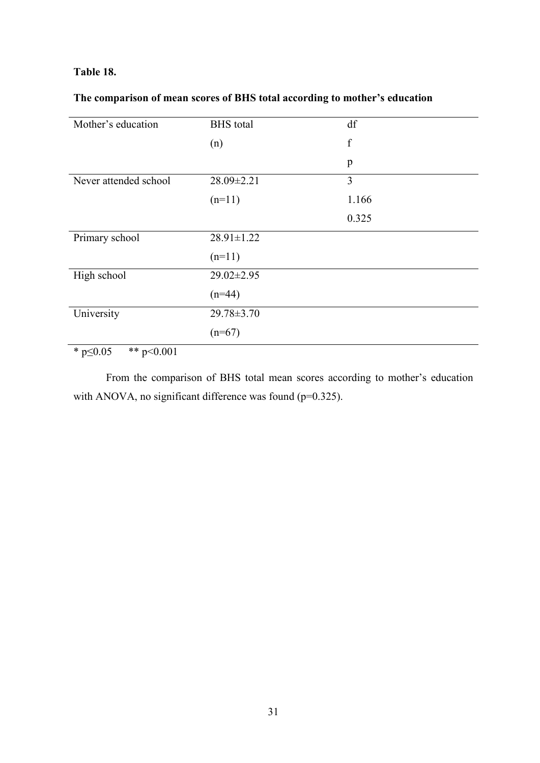### **Table 18.**

# **The comparison of mean scores of BHS total according to mother's education**

| Mother's education    | <b>BHS</b> total | df          |
|-----------------------|------------------|-------------|
|                       | (n)              | $\mathbf f$ |
|                       |                  | p           |
| Never attended school | 28.09±2.21       | 3           |
|                       | $(n=11)$         | 1.166       |
|                       |                  | 0.325       |
| Primary school        | $28.91 \pm 1.22$ |             |
|                       | $(n=11)$         |             |
| High school           | $29.02 \pm 2.95$ |             |
|                       | $(n=44)$         |             |
| University            | $29.78 \pm 3.70$ |             |
|                       | $(n=67)$         |             |

\*  $p \le 0.05$  \*\*  $p \le 0.001$ 

 From the comparison of BHS total mean scores according to mother's education with ANOVA, no significant difference was found (p=0.325).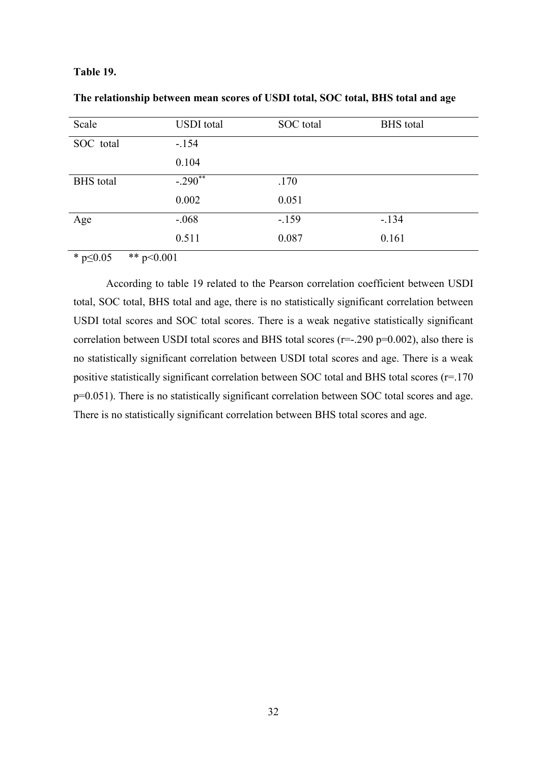### **Table 19.**

| Scale            | <b>USDI</b> total | SOC total | <b>BHS</b> total |
|------------------|-------------------|-----------|------------------|
| SOC total        | $-.154$           |           |                  |
|                  | 0.104             |           |                  |
| <b>BHS</b> total | $-.290$ **        | .170      |                  |
|                  | 0.002             | 0.051     |                  |
| Age              | $-.068$           | $-159$    | $-.134$          |
|                  | 0.511             | 0.087     | 0.161            |

| The relationship between mean scores of USDI total, SOC total, BHS total and age |  |  |
|----------------------------------------------------------------------------------|--|--|
|                                                                                  |  |  |

\*  $p \le 0.05$  \*\*  $p \le 0.001$ 

 According to table 19 related to the Pearson correlation coefficient between USDI total, SOC total, BHS total and age, there is no statistically significant correlation between USDI total scores and SOC total scores. There is a weak negative statistically significant correlation between USDI total scores and BHS total scores ( $r=-290$   $p=0.002$ ), also there is no statistically significant correlation between USDI total scores and age. There is a weak positive statistically significant correlation between SOC total and BHS total scores (r=.170 p=0.051). There is no statistically significant correlation between SOC total scores and age. There is no statistically significant correlation between BHS total scores and age.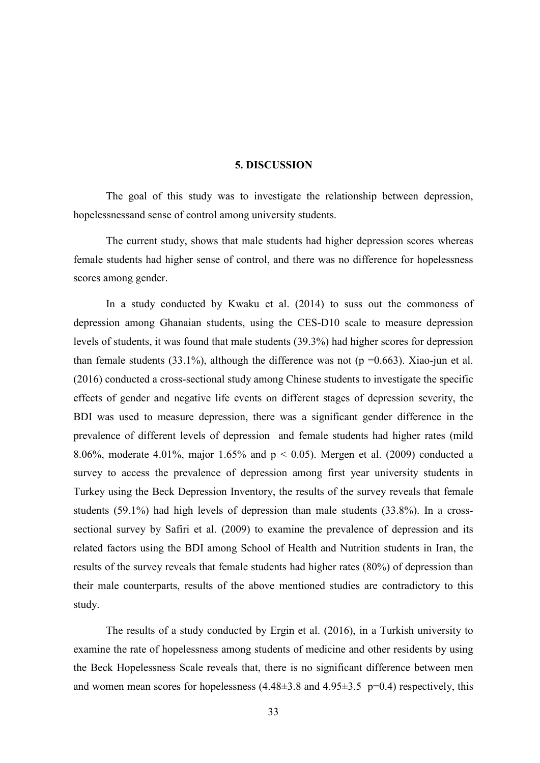#### **5. DISCUSSION**

 The goal of this study was to investigate the relationship between depression, hopelessnessand sense of control among university students.

 The current study, shows that male students had higher depression scores whereas female students had higher sense of control, and there was no difference for hopelessness scores among gender.

 In a study conducted by Kwaku et al. (2014) to suss out the commoness of depression among Ghanaian students, using the CES-D10 scale to measure depression levels of students, it was found that male students (39.3%) had higher scores for depression than female students (33.1%), although the difference was not ( $p = 0.663$ ). Xiao-jun et al. (2016) conducted a cross-sectional study among Chinese students to investigate the specific effects of gender and negative life events on different stages of depression severity, the BDI was used to measure depression, there was a significant gender difference in the prevalence of different levels of depression and female students had higher rates (mild 8.06%, moderate 4.01%, major 1.65% and  $p < 0.05$ ). Mergen et al. (2009) conducted a survey to access the prevalence of depression among first year university students in Turkey using the Beck Depression Inventory, the results of the survey reveals that female students (59.1%) had high levels of depression than male students (33.8%). In a crosssectional survey by Safiri et al. (2009) to examine the prevalence of depression and its related factors using the BDI among School of Health and Nutrition students in Iran, the results of the survey reveals that female students had higher rates (80%) of depression than their male counterparts, results of the above mentioned studies are contradictory to this study.

 The results of a study conducted by Ergin et al. (2016), in a Turkish university to examine the rate of hopelessness among students of medicine and other residents by using the Beck Hopelessness Scale reveals that, there is no significant difference between men and women mean scores for hopelessness  $(4.48\pm3.8 \text{ and } 4.95\pm3.5 \text{ p=0.4})$  respectively, this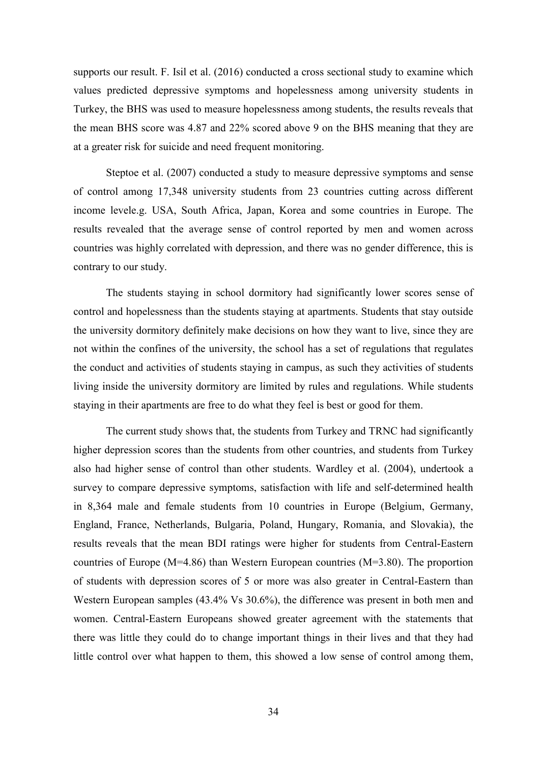supports our result. F. Isil et al. (2016) conducted a cross sectional study to examine which values predicted depressive symptoms and hopelessness among university students in Turkey, the BHS was used to measure hopelessness among students, the results reveals that the mean BHS score was 4.87 and 22% scored above 9 on the BHS meaning that they are at a greater risk for suicide and need frequent monitoring.

 Steptoe et al. (2007) conducted a study to measure depressive symptoms and sense of control among 17,348 university students from 23 countries cutting across different income levele.g. USA, South Africa, Japan, Korea and some countries in Europe. The results revealed that the average sense of control reported by men and women across countries was highly correlated with depression, and there was no gender difference, this is contrary to our study.

 The students staying in school dormitory had significantly lower scores sense of control and hopelessness than the students staying at apartments. Students that stay outside the university dormitory definitely make decisions on how they want to live, since they are not within the confines of the university, the school has a set of regulations that regulates the conduct and activities of students staying in campus, as such they activities of students living inside the university dormitory are limited by rules and regulations. While students staying in their apartments are free to do what they feel is best or good for them.

 The current study shows that, the students from Turkey and TRNC had significantly higher depression scores than the students from other countries, and students from Turkey also had higher sense of control than other students. Wardley et al. (2004), undertook a survey to compare depressive symptoms, satisfaction with life and self-determined health in 8,364 male and female students from 10 countries in Europe (Belgium, Germany, England, France, Netherlands, Bulgaria, Poland, Hungary, Romania, and Slovakia), the results reveals that the mean BDI ratings were higher for students from Central-Eastern countries of Europe (M=4.86) than Western European countries (M=3.80). The proportion of students with depression scores of 5 or more was also greater in Central-Eastern than Western European samples (43.4% Vs 30.6%), the difference was present in both men and women. Central-Eastern Europeans showed greater agreement with the statements that there was little they could do to change important things in their lives and that they had little control over what happen to them, this showed a low sense of control among them,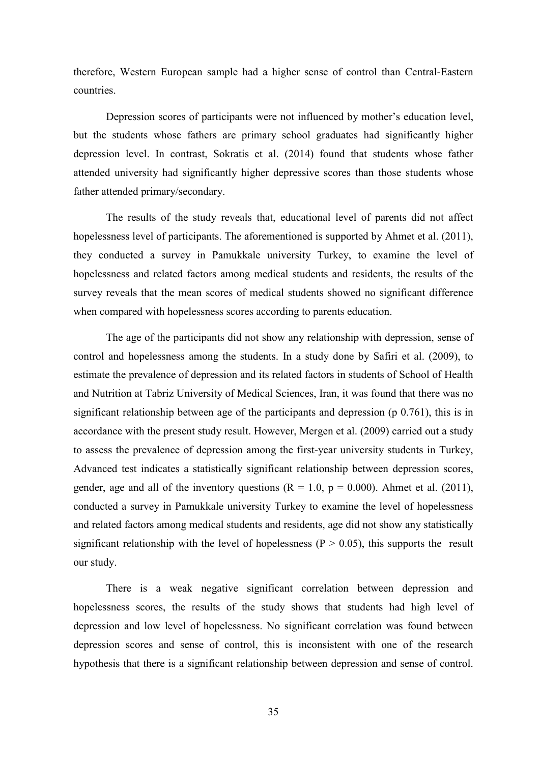therefore, Western European sample had a higher sense of control than Central-Eastern countries.

 Depression scores of participants were not influenced by mother's education level, but the students whose fathers are primary school graduates had significantly higher depression level. In contrast, Sokratis et al. (2014) found that students whose father attended university had significantly higher depressive scores than those students whose father attended primary/secondary.

 The results of the study reveals that, educational level of parents did not affect hopelessness level of participants. The aforementioned is supported by Ahmet et al. (2011), they conducted a survey in Pamukkale university Turkey, to examine the level of hopelessness and related factors among medical students and residents, the results of the survey reveals that the mean scores of medical students showed no significant difference when compared with hopelessness scores according to parents education.

 The age of the participants did not show any relationship with depression, sense of control and hopelessness among the students. In a study done by Safiri et al. (2009), to estimate the prevalence of depression and its related factors in students of School of Health and Nutrition at Tabriz University of Medical Sciences, Iran, it was found that there was no significant relationship between age of the participants and depression (p 0.761), this is in accordance with the present study result. However, Mergen et al. (2009) carried out a study to assess the prevalence of depression among the first-year university students in Turkey, Advanced test indicates a statistically significant relationship between depression scores, gender, age and all of the inventory questions  $(R = 1.0, p = 0.000)$ . Ahmet et al. (2011), conducted a survey in Pamukkale university Turkey to examine the level of hopelessness and related factors among medical students and residents, age did not show any statistically significant relationship with the level of hopelessness ( $P > 0.05$ ), this supports the result our study.

 There is a weak negative significant correlation between depression and hopelessness scores, the results of the study shows that students had high level of depression and low level of hopelessness. No significant correlation was found between depression scores and sense of control, this is inconsistent with one of the research hypothesis that there is a significant relationship between depression and sense of control.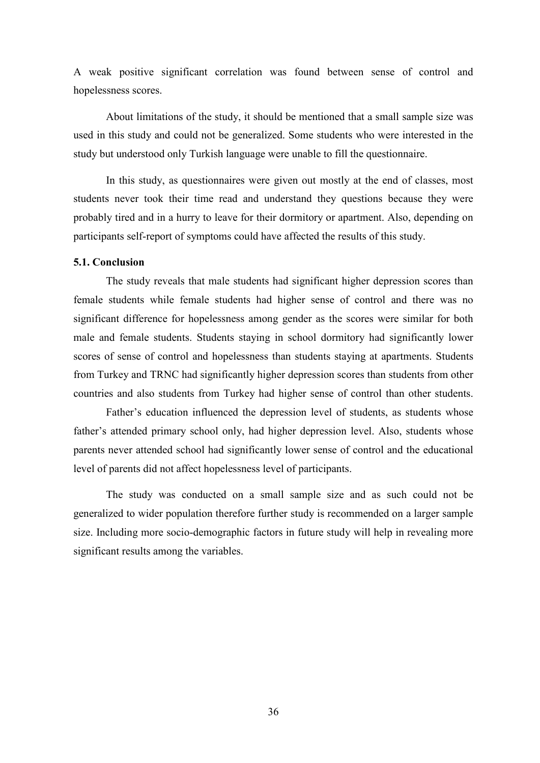A weak positive significant correlation was found between sense of control and hopelessness scores.

 About limitations of the study, it should be mentioned that a small sample size was used in this study and could not be generalized. Some students who were interested in the study but understood only Turkish language were unable to fill the questionnaire.

 In this study, as questionnaires were given out mostly at the end of classes, most students never took their time read and understand they questions because they were probably tired and in a hurry to leave for their dormitory or apartment. Also, depending on participants self-report of symptoms could have affected the results of this study.

#### **5.1. Conclusion**

 The study reveals that male students had significant higher depression scores than female students while female students had higher sense of control and there was no significant difference for hopelessness among gender as the scores were similar for both male and female students. Students staying in school dormitory had significantly lower scores of sense of control and hopelessness than students staying at apartments. Students from Turkey and TRNC had significantly higher depression scores than students from other countries and also students from Turkey had higher sense of control than other students.

 Father's education influenced the depression level of students, as students whose father's attended primary school only, had higher depression level. Also, students whose parents never attended school had significantly lower sense of control and the educational level of parents did not affect hopelessness level of participants.

 The study was conducted on a small sample size and as such could not be generalized to wider population therefore further study is recommended on a larger sample size. Including more socio-demographic factors in future study will help in revealing more significant results among the variables.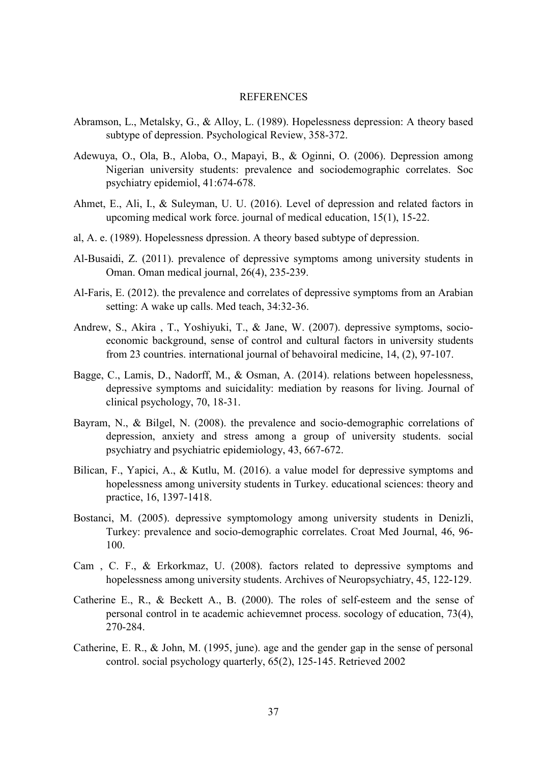#### **REFERENCES**

- Abramson, L., Metalsky, G., & Alloy, L. (1989). Hopelessness depression: A theory based subtype of depression. Psychological Review, 358-372.
- Adewuya, O., Ola, B., Aloba, O., Mapayi, B., & Oginni, O. (2006). Depression among Nigerian university students: prevalence and sociodemographic correlates. Soc psychiatry epidemiol, 41:674-678.
- Ahmet, E., Ali, I., & Suleyman, U. U. (2016). Level of depression and related factors in upcoming medical work force. journal of medical education, 15(1), 15-22.
- al, A. e. (1989). Hopelessness dpression. A theory based subtype of depression.
- Al-Busaidi, Z. (2011). prevalence of depressive symptoms among university students in Oman. Oman medical journal, 26(4), 235-239.
- Al-Faris, E. (2012). the prevalence and correlates of depressive symptoms from an Arabian setting: A wake up calls. Med teach, 34:32-36.
- Andrew, S., Akira , T., Yoshiyuki, T., & Jane, W. (2007). depressive symptoms, socioeconomic background, sense of control and cultural factors in university students from 23 countries. international journal of behavoiral medicine, 14, (2), 97-107.
- Bagge, C., Lamis, D., Nadorff, M., & Osman, A. (2014). relations between hopelessness, depressive symptoms and suicidality: mediation by reasons for living. Journal of clinical psychology, 70, 18-31.
- Bayram, N., & Bilgel, N. (2008). the prevalence and socio-demographic correlations of depression, anxiety and stress among a group of university students. social psychiatry and psychiatric epidemiology, 43, 667-672.
- Bilican, F., Yapici, A., & Kutlu, M. (2016). a value model for depressive symptoms and hopelessness among university students in Turkey. educational sciences: theory and practice, 16, 1397-1418.
- Bostanci, M. (2005). depressive symptomology among university students in Denizli, Turkey: prevalence and socio-demographic correlates. Croat Med Journal, 46, 96- 100.
- Cam , C. F., & Erkorkmaz, U. (2008). factors related to depressive symptoms and hopelessness among university students. Archives of Neuropsychiatry, 45, 122-129.
- Catherine E., R., & Beckett A., B. (2000). The roles of self-esteem and the sense of personal control in te academic achievemnet process. socology of education, 73(4), 270-284.
- Catherine, E. R., & John, M. (1995, june). age and the gender gap in the sense of personal control. social psychology quarterly, 65(2), 125-145. Retrieved 2002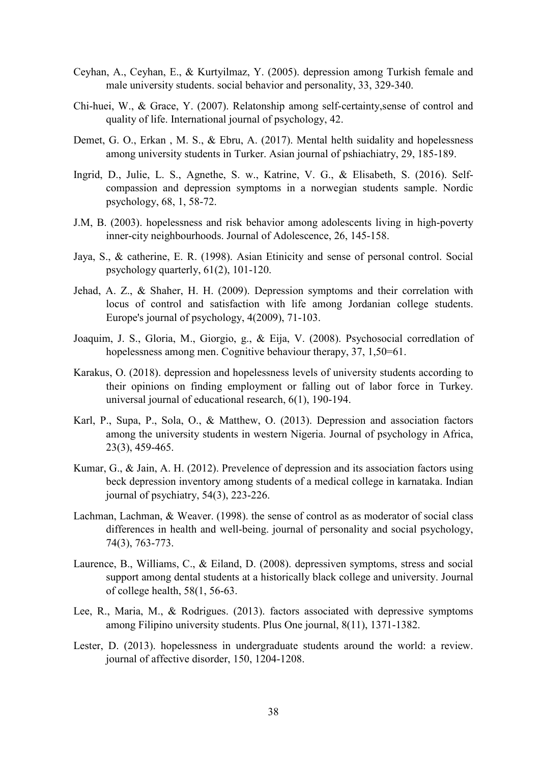- Ceyhan, A., Ceyhan, E., & Kurtyilmaz, Y. (2005). depression among Turkish female and male university students. social behavior and personality, 33, 329-340.
- Chi-huei, W., & Grace, Y. (2007). Relatonship among self-certainty,sense of control and quality of life. International journal of psychology, 42.
- Demet, G. O., Erkan , M. S., & Ebru, A. (2017). Mental helth suidality and hopelessness among university students in Turker. Asian journal of pshiachiatry, 29, 185-189.
- Ingrid, D., Julie, L. S., Agnethe, S. w., Katrine, V. G., & Elisabeth, S. (2016). Selfcompassion and depression symptoms in a norwegian students sample. Nordic psychology, 68, 1, 58-72.
- J.M, B. (2003). hopelessness and risk behavior among adolescents living in high-poverty inner-city neighbourhoods. Journal of Adolescence, 26, 145-158.
- Jaya, S., & catherine, E. R. (1998). Asian Etinicity and sense of personal control. Social psychology quarterly, 61(2), 101-120.
- Jehad, A. Z., & Shaher, H. H. (2009). Depression symptoms and their correlation with locus of control and satisfaction with life among Jordanian college students. Europe's journal of psychology, 4(2009), 71-103.
- Joaquim, J. S., Gloria, M., Giorgio, g., & Eija, V. (2008). Psychosocial corredlation of hopelessness among men. Cognitive behaviour therapy, 37, 1,50=61.
- Karakus, O. (2018). depression and hopelessness levels of university students according to their opinions on finding employment or falling out of labor force in Turkey. universal journal of educational research, 6(1), 190-194.
- Karl, P., Supa, P., Sola, O., & Matthew, O. (2013). Depression and association factors among the university students in western Nigeria. Journal of psychology in Africa, 23(3), 459-465.
- Kumar, G., & Jain, A. H. (2012). Prevelence of depression and its association factors using beck depression inventory among students of a medical college in karnataka. Indian journal of psychiatry, 54(3), 223-226.
- Lachman, Lachman, & Weaver. (1998). the sense of control as as moderator of social class differences in health and well-being. journal of personality and social psychology, 74(3), 763-773.
- Laurence, B., Williams, C., & Eiland, D. (2008). depressiven symptoms, stress and social support among dental students at a historically black college and university. Journal of college health, 58(1, 56-63.
- Lee, R., Maria, M., & Rodrigues. (2013). factors associated with depressive symptoms among Filipino university students. Plus One journal, 8(11), 1371-1382.
- Lester, D. (2013). hopelessness in undergraduate students around the world: a review. journal of affective disorder, 150, 1204-1208.